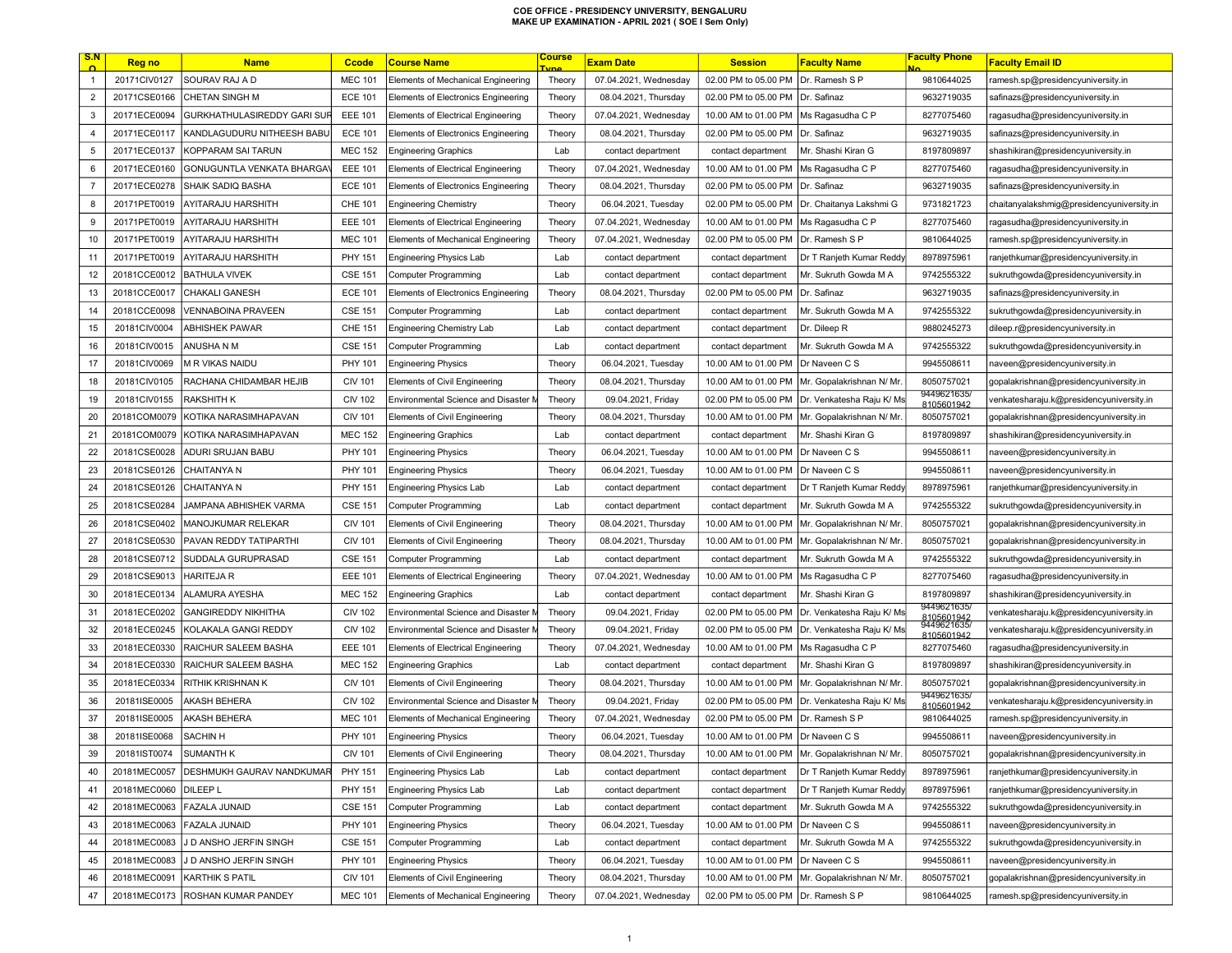| <u>S.N</u>     | <b>Reg no</b> | <b>Name</b>                      | <b>Ccode</b>   | <b>Course Name</b>                        | <u>Course</u><br><b>une</b> | <b>Exam Date</b>      | <b>Session</b>                       | <b>Faculty Name</b>       | <b>Faculty Phone</b>                     | <b>Faculty Email ID</b>                   |
|----------------|---------------|----------------------------------|----------------|-------------------------------------------|-----------------------------|-----------------------|--------------------------------------|---------------------------|------------------------------------------|-------------------------------------------|
| $\overline{1}$ | 20171CIV0127  | SOURAV RAJ A D                   | <b>MEC 101</b> | Elements of Mechanical Engineering        | Theory                      | 07.04.2021, Wednesday | 02.00 PM to 05.00 PM                 | Dr. Ramesh S P            | 9810644025                               | ramesh.sp@presidencyuniversity.in         |
| $\overline{2}$ | 20171CSE0166  | CHETAN SINGH M                   | <b>ECE 101</b> | Elements of Electronics Engineering       | Theory                      | 08.04.2021, Thursday  | 02.00 PM to 05.00 PM   Dr. Safinaz   |                           | 9632719035                               | safinazs@presidencyuniversity.in          |
| 3              | 20171ECE0094  | GURKHATHULASIREDDY GARI SUF      | <b>EEE 101</b> | Elements of Electrical Engineering        | Theory                      | 07.04.2021, Wednesday | 10.00 AM to 01.00 PM                 | Ms Ragasudha C P          | 8277075460                               | ragasudha@presidencyuniversity.in         |
| $\overline{4}$ | 20171ECE0117  | KANDLAGUDURU NITHEESH BABU       | <b>ECE 101</b> | Elements of Electronics Engineering       | Theory                      | 08.04.2021, Thursday  | 02.00 PM to 05.00 PM                 | Dr. Safinaz               | 9632719035                               | safinazs@presidencyuniversity.in          |
| $\sqrt{5}$     | 20171ECE0137  | KOPPARAM SAI TARUN               | <b>MEC 152</b> | <b>Engineering Graphics</b>               | Lab                         | contact department    | contact department                   | Mr. Shashi Kiran G        | 8197809897                               | shashikiran@presidencyuniversity.in       |
| 6              | 20171ECE0160  | GONUGUNTLA VENKATA BHARGA'       | <b>EEE 101</b> | <b>Elements of Electrical Engineering</b> | Theory                      | 07.04.2021, Wednesday | 10.00 AM to 01.00 PM                 | Ms Ragasudha C P          | 8277075460                               | ragasudha@presidencyuniversity.in         |
| $\overline{7}$ | 20171ECE0278  | SHAIK SADIQ BASHA                | <b>ECE 101</b> | Elements of Electronics Engineering       | Theory                      | 08.04.2021, Thursday  | 02.00 PM to 05.00 PM                 | Dr. Safinaz               | 9632719035                               | safinazs@presidencyuniversity.in          |
| 8              | 20171PET0019  | AYITARAJU HARSHITH               | CHE 101        | <b>Engineering Chemistry</b>              | Theory                      | 06.04.2021, Tuesday   | 02.00 PM to 05.00 PM                 | Dr. Chaitanya Lakshmi G   | 9731821723                               | chaitanyalakshmig@presidencyuniversity.in |
| 9              | 20171PET0019  | AYITARAJU HARSHITH               | <b>EEE 101</b> | <b>Elements of Electrical Engineering</b> | Theory                      | 07.04.2021, Wednesday | 10.00 AM to 01.00 PM                 | Ms Ragasudha C P          | 8277075460                               | ragasudha@presidencyuniversity.in         |
| 10             | 20171PET0019  | AYITARAJU HARSHITH               | <b>MEC 101</b> | Elements of Mechanical Engineering        | Theory                      | 07.04.2021, Wednesday | 02.00 PM to 05.00 PM                 | Dr. Ramesh S P            | 9810644025                               | ramesh.sp@presidencyuniversity.in         |
| 11             | 20171PET0019  | AYITARAJU HARSHITH               | PHY 151        | <b>Engineering Physics Lab</b>            | Lab                         | contact department    | contact department                   | Dr T Ranjeth Kumar Reddy  | 8978975961                               | ranjethkumar@presidencyuniversity.in      |
| 12             | 20181CCE0012  | <b>BATHULA VIVEK</b>             | <b>CSE 151</b> | <b>Computer Programming</b>               | Lab                         | contact department    | contact department                   | Mr. Sukruth Gowda M A     | 9742555322                               | sukruthgowda@presidencyuniversity.in      |
| 13             | 20181CCE0017  | CHAKALI GANESH                   | <b>ECE 101</b> | Elements of Electronics Engineering       | Theory                      | 08.04.2021, Thursday  | 02.00 PM to 05.00 PM                 | Dr. Safinaz               | 9632719035                               | safinazs@presidencyuniversity.in          |
| 14             | 20181CCE0098  | VENNABOINA PRAVEEN               | <b>CSE 151</b> | <b>Computer Programming</b>               | Lab                         | contact department    | contact department                   | Mr. Sukruth Gowda M A     | 9742555322                               | sukruthgowda@presidencyuniversity.in      |
| 15             | 20181CIV0004  | ABHISHEK PAWAR                   | <b>CHE 151</b> | Engineering Chemistry Lab                 | Lab                         | contact department    | contact department                   | Dr. Dileep R              | 9880245273                               | dileep.r@presidencyuniversity.in          |
| 16             | 20181CIV0015  | ANUSHA N M                       | <b>CSE 151</b> | <b>Computer Programming</b>               | Lab                         | contact department    | contact department                   | Mr. Sukruth Gowda M A     | 9742555322                               | sukruthgowda@presidencyuniversity.in      |
| 17             | 20181CIV0069  | M R VIKAS NAIDU                  | PHY 101        | <b>Engineering Physics</b>                | Theory                      | 06.04.2021, Tuesday   | 10.00 AM to 01.00 PM                 | Dr Naveen C S             | 9945508611                               | naveen@presidencyuniversity.in            |
| 18             | 20181CIV0105  | RACHANA CHIDAMBAR HEJIB          | <b>CIV 101</b> | <b>Elements of Civil Engineering</b>      | Theory                      | 08.04.2021, Thursday  | 10.00 AM to 01.00 PM                 | Mr. Gopalakrishnan N/ Mr  | 8050757021                               | gopalakrishnan@presidencyuniversity.in    |
| 19             | 20181CIV0155  | <b>RAKSHITH K</b>                | <b>CIV 102</b> | Environmental Science and Disaster M      | Theory                      | 09.04.2021, Friday    | 02.00 PM to 05.00 PM                 | Dr. Venkatesha Raju K/ Ms | 9449621635/<br>8105601942                | venkatesharaju.k@presidencyuniversity.in  |
| 20             | 20181COM0079  | KOTIKA NARASIMHAPAVAN            | <b>CIV 101</b> | Elements of Civil Engineering             | Theory                      | 08.04.2021, Thursday  | 10.00 AM to 01.00 PM                 | Mr. Gopalakrishnan N/ Mr  | 8050757021                               | gopalakrishnan@presidencyuniversity.in    |
| 21             | 20181COM0079  | KOTIKA NARASIMHAPAVAN            | <b>MEC 152</b> | <b>Engineering Graphics</b>               | Lab                         | contact department    | contact department                   | Mr. Shashi Kiran G        | 8197809897                               | shashikiran@presidencyuniversity.in       |
| 22             | 20181CSE0028  | ADURI SRUJAN BABU                | PHY 101        | <b>Engineering Physics</b>                | Theory                      | 06.04.2021, Tuesday   | 10.00 AM to 01.00 PM                 | Dr Naveen C S             | 9945508611                               | naveen@presidencyuniversity.in            |
| 23             | 20181CSE0126  | CHAITANYA N                      | PHY 101        | <b>Engineering Physics</b>                | Theory                      | 06.04.2021, Tuesday   | 10.00 AM to 01.00 PM                 | Dr Naveen C S             | 9945508611                               | naveen@presidencyuniversity.in            |
| 24             | 20181CSE0126  | CHAITANYA N                      | <b>PHY 151</b> | <b>Engineering Physics Lab</b>            | Lab                         | contact department    | contact department                   | Dr T Ranjeth Kumar Reddy  | 8978975961                               | ranjethkumar@presidencyuniversity.in      |
| 25             | 20181CSE0284  | JAMPANA ABHISHEK VARMA           | <b>CSE 151</b> | <b>Computer Programming</b>               | Lab                         | contact department    | contact department                   | Mr. Sukruth Gowda M A     | 9742555322                               | sukruthgowda@presidencyuniversity.in      |
| 26             | 20181CSE0402  | MANOJKUMAR RELEKAR               | <b>CIV 101</b> | <b>Elements of Civil Engineering</b>      | Theory                      | 08.04.2021, Thursday  | 10.00 AM to 01.00 PM                 | Mr. Gopalakrishnan N/ Mr  | 8050757021                               | gopalakrishnan@presidencyuniversity.in    |
| 27             | 20181CSE0530  | PAVAN REDDY TATIPARTHI           | <b>CIV 101</b> | <b>Elements of Civil Engineering</b>      | Theory                      | 08.04.2021, Thursday  | 10.00 AM to 01.00 PM                 | Mr. Gopalakrishnan N/ Mr  | 8050757021                               | gopalakrishnan@presidencyuniversity.in    |
| 28             | 20181CSE0712  | SUDDALA GURUPRASAD               | <b>CSE 151</b> | <b>Computer Programming</b>               | Lab                         | contact department    | contact department                   | Mr. Sukruth Gowda M A     | 9742555322                               | sukruthgowda@presidencyuniversity.in      |
| 29             | 20181CSE9013  | <b>HARITEJA R</b>                | <b>EEE 101</b> | <b>Elements of Electrical Engineering</b> | Theory                      | 07.04.2021, Wednesday | 10.00 AM to 01.00 PM                 | Ms Ragasudha C P          | 8277075460                               | ragasudha@presidencyuniversity.in         |
| 30             | 20181ECE0134  | ALAMURA AYESHA                   | <b>MEC 152</b> | <b>Engineering Graphics</b>               | Lab                         | contact department    | contact department                   | Mr. Shashi Kiran G        | 8197809897                               | shashikiran@presidencyuniversity.in       |
| 31             | 20181ECE0202  | GANGIREDDY NIKHITHA              | <b>CIV 102</b> | Environmental Science and Disaster I      | Theory                      | 09.04.2021, Friday    | 02.00 PM to 05.00 PM                 | Dr. Venkatesha Raju K/ Ms | 9449621635/<br>8105601942<br>9449621635/ | venkatesharaju.k@presidencyuniversity.in  |
| 32             | 20181ECE0245  | KOLAKALA GANGI REDDY             | <b>CIV 102</b> | Environmental Science and Disaster M      | Theory                      | 09.04.2021, Friday    | 02.00 PM to 05.00 PM                 | Dr. Venkatesha Raju K/ Ms | 8105601942                               | venkatesharaju.k@presidencyuniversity.in  |
| 33             | 20181ECE0330  | RAICHUR SALEEM BASHA             | <b>EEE 101</b> | Elements of Electrical Engineering        | Theory                      | 07.04.2021, Wednesday | 10.00 AM to 01.00 PM                 | Ms Ragasudha C P          | 8277075460                               | ragasudha@presidencyuniversity.in         |
| 34             | 20181ECE0330  | RAICHUR SALEEM BASHA             | <b>MEC 152</b> | <b>Engineering Graphics</b>               | Lab                         | contact department    | contact department                   | Mr. Shashi Kiran G        | 8197809897                               | shashikiran@presidencyuniversity.in       |
| 35             | 20181ECE0334  | RITHIK KRISHNAN K                | <b>CIV 101</b> | Elements of Civil Engineering             | Theory                      | 08.04.2021, Thursday  | 10.00 AM to 01.00 PM                 | Mr. Gopalakrishnan N/ Mr. | 8050757021                               | gopalakrishnan@presidencyuniversity.in    |
| 36             | 20181ISE0005  | AKASH BEHERA                     | <b>CIV 102</b> | Environmental Science and Disaster M      | Theory                      | 09.04.2021, Friday    | 02.00 PM to 05.00 PM                 | Dr. Venkatesha Raju K/ Ms | 9449621635/<br>8105601942                | venkatesharaju.k@presidencyuniversity.in  |
| 37             | 20181ISE0005  | <b>AKASH BEHERA</b>              | <b>MEC 101</b> | Elements of Mechanical Engineering        | Theory                      | 07.04.2021, Wednesday | 02.00 PM to 05.00 PM                 | Dr. Ramesh S P            | 9810644025                               | ramesh.sp@presidencyuniversity.in         |
| 38             | 20181ISE0068  | <b>SACHIN H</b>                  | PHY 101        | <b>Engineering Physics</b>                | Theory                      | 06.04.2021, Tuesday   | 10.00 AM to 01.00 PM   Dr Naveen C S |                           | 9945508611                               | naveen@presidencyuniversity.in            |
| -39            | 20181IST0074  | SUMANTH K                        | CIV 101        | Elements of Civil Engineering             | Theory                      | 08.04.2021, Thursday  | 10.00 AM to 01.00 PM                 | Mr. Gopalakrishnan N/ Mr  | 8050757021                               | gopalakrishnan@presidencyuniversity.in    |
| 40             | 20181MEC0057  | <b>DESHMUKH GAURAV NANDKUMAR</b> | PHY 151        | <b>Engineering Physics Lab</b>            | Lab                         | contact department    | contact department                   | Dr T Ranjeth Kumar Reddy  | 8978975961                               | ranjethkumar@presidencyuniversity.in      |
| 41             | 20181MEC0060  | <b>DILEEP L</b>                  | <b>PHY 151</b> | <b>Engineering Physics Lab</b>            | Lab                         | contact department    | contact department                   | Dr T Ranjeth Kumar Reddy  | 8978975961                               | ranjethkumar@presidencyuniversity.in      |
| 42             | 20181MEC0063  | <b>FAZALA JUNAID</b>             | <b>CSE 151</b> | Computer Programming                      | Lab                         | contact department    | contact department                   | Mr. Sukruth Gowda M A     | 9742555322                               | sukruthgowda@presidencyuniversity.in      |
| 43             | 20181MEC0063  | FAZALA JUNAID                    | PHY 101        | <b>Engineering Physics</b>                | Theory                      | 06.04.2021, Tuesday   | 10.00 AM to 01.00 PM                 | Dr Naveen C S             | 9945508611                               | naveen@presidencyuniversity.in            |
| 44             | 20181MEC0083  | J D ANSHO JERFIN SINGH           | <b>CSE 151</b> | <b>Computer Programming</b>               | Lab                         | contact department    | contact department                   | Mr. Sukruth Gowda M A     | 9742555322                               | sukruthgowda@presidencyuniversity.in      |
| 45             | 20181MEC0083  | J D ANSHO JERFIN SINGH           | PHY 101        | <b>Engineering Physics</b>                | Theory                      | 06.04.2021, Tuesday   | 10.00 AM to 01.00 PM                 | Dr Naveen C S             | 9945508611                               | naveen@presidencyuniversity.in            |
| 46             | 20181MEC0091  | <b>KARTHIK S PATIL</b>           | <b>CIV 101</b> | Elements of Civil Engineering             | Theory                      | 08.04.2021, Thursday  | 10.00 AM to 01.00 PM                 | Mr. Gopalakrishnan N/ Mr  | 8050757021                               | gopalakrishnan@presidencyuniversity.in    |
| 47             | 20181MEC0173  | <b>ROSHAN KUMAR PANDEY</b>       | <b>MEC 101</b> | Elements of Mechanical Engineering        | Theory                      | 07.04.2021, Wednesday | 02.00 PM to 05.00 PM Dr. Ramesh S P  |                           | 9810644025                               | ramesh.sp@presidencyuniversity.in         |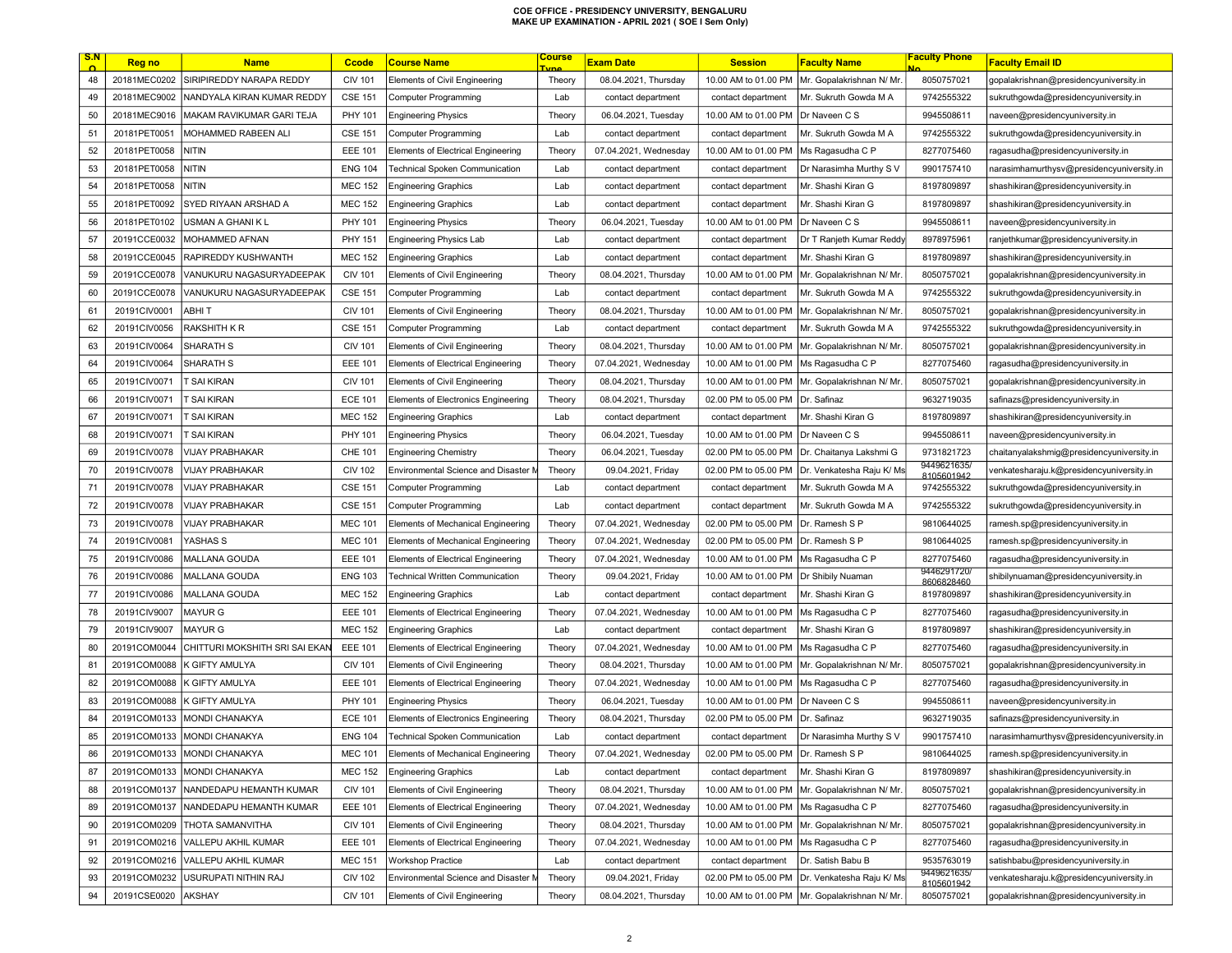| <u>S.N</u> | Reg no       | <b>Name</b>                    | <b>Ccode</b>   | <b>Course Name</b>                    | <u>Course</u><br><b>Tyne</b> | <b>Exam Date</b>      | <b>Session</b>       | <b>Faculty Name</b>       | Faculty Phone             | <b>Faculty Email ID</b>                   |
|------------|--------------|--------------------------------|----------------|---------------------------------------|------------------------------|-----------------------|----------------------|---------------------------|---------------------------|-------------------------------------------|
| 48         | 20181MEC0202 | SIRIPIREDDY NARAPA REDDY       | <b>CIV 101</b> | Elements of Civil Engineering         | Theory                       | 08.04.2021, Thursday  | 10.00 AM to 01.00 PM | Mr. Gopalakrishnan N/ Mr. | 8050757021                | gopalakrishnan@presidencyuniversity.in    |
| 49         | 20181MEC9002 | NANDYALA KIRAN KUMAR REDDY     | <b>CSE 151</b> | <b>Computer Programming</b>           | Lab                          | contact department    | contact department   | Mr. Sukruth Gowda M A     | 9742555322                | sukruthgowda@presidencyuniversity.in      |
| 50         | 20181MEC9016 | MAKAM RAVIKUMAR GARI TEJA      | PHY 101        | <b>Engineering Physics</b>            | Theory                       | 06.04.2021, Tuesday   | 10.00 AM to 01.00 PM | Dr Naveen C S             | 9945508611                | naveen@presidencyuniversity.in            |
| 51         | 20181PET0051 | <b>MOHAMMED RABEEN ALI</b>     | <b>CSE 151</b> | <b>Computer Programming</b>           | Lab                          | contact department    | contact department   | Mr. Sukruth Gowda M A     | 9742555322                | sukruthgowda@presidencyuniversity.in      |
| 52         | 20181PET0058 | NITIN                          | <b>EEE 101</b> | Elements of Electrical Engineering    | Theory                       | 07.04.2021, Wednesday | 10.00 AM to 01.00 PM | Ms Ragasudha C P          | 8277075460                | ragasudha@presidencyuniversity.in         |
| 53         | 20181PET0058 | VITIN                          | <b>ENG 104</b> | <b>Technical Spoken Communication</b> | Lab                          | contact department    | contact department   | Dr Narasimha Murthy S V   | 9901757410                | narasimhamurthysv@presidencyuniversity.in |
| 54         | 20181PET0058 | nitin                          | <b>MEC 152</b> | <b>Engineering Graphics</b>           | Lab                          | contact department    | contact department   | Mr. Shashi Kiran G        | 8197809897                | shashikiran@presidencyuniversity.in       |
| 55         | 20181PET0092 | SYED RIYAAN ARSHAD A           | <b>MEC 152</b> | <b>Engineering Graphics</b>           | Lab                          | contact department    | contact department   | Mr. Shashi Kiran G        | 8197809897                | shashikiran@presidencyuniversity.in       |
| 56         | 20181PET0102 | USMAN A GHANI K L              | <b>PHY 101</b> | <b>Engineering Physics</b>            | Theory                       | 06.04.2021, Tuesday   | 10.00 AM to 01.00 PM | Dr Naveen C S             | 9945508611                | naveen@presidencyuniversity.in            |
| 57         | 20191CCE0032 | MOHAMMED AFNAN                 | <b>PHY 151</b> | <b>Engineering Physics Lab</b>        | Lab                          | contact department    | contact department   | Dr T Ranjeth Kumar Reddy  | 8978975961                | ranjethkumar@presidencyuniversity.in      |
| 58         | 20191CCE0045 | RAPIREDDY KUSHWANTH            | <b>MEC 152</b> | <b>Engineering Graphics</b>           | Lab                          | contact department    | contact department   | Mr. Shashi Kiran G        | 8197809897                | shashikiran@presidencyuniversity.in       |
| 59         | 20191CCE0078 | VANUKURU NAGASURYADEEPAK       | <b>CIV 101</b> | <b>Elements of Civil Engineering</b>  | Theory                       | 08.04.2021, Thursday  | 10.00 AM to 01.00 PM | Mr. Gopalakrishnan N/ Mr. | 8050757021                | gopalakrishnan@presidencyuniversity.in    |
| 60         | 20191CCE0078 | VANUKURU NAGASURYADEEPAK       | <b>CSE 151</b> | <b>Computer Programming</b>           | Lab                          | contact department    | contact department   | Mr. Sukruth Gowda M A     | 9742555322                | sukruthgowda@presidencyuniversity.in      |
| 61         | 20191CIV0001 | ABHI T                         | <b>CIV 101</b> | <b>Elements of Civil Engineering</b>  | Theory                       | 08.04.2021, Thursday  | 10.00 AM to 01.00 PM | Mr. Gopalakrishnan N/ Mr. | 8050757021                | gopalakrishnan@presidencyuniversity.in    |
| 62         | 20191CIV0056 | RAKSHITH K R                   | <b>CSE 151</b> | <b>Computer Programming</b>           | Lab                          | contact department    | contact department   | Mr. Sukruth Gowda M A     | 9742555322                | sukruthgowda@presidencyuniversity.in      |
| 63         | 20191CIV0064 | <b>SHARATH S</b>               | <b>CIV 101</b> | <b>Elements of Civil Engineering</b>  | Theory                       | 08.04.2021, Thursday  | 10.00 AM to 01.00 PM | Mr. Gopalakrishnan N/ Mr. | 8050757021                | gopalakrishnan@presidencyuniversity.in    |
| 64         | 20191CIV0064 | SHARATH S                      | <b>EEE 101</b> | Elements of Electrical Engineering    | Theory                       | 07.04.2021, Wednesday | 10.00 AM to 01.00 PM | Ms Ragasudha C P          | 8277075460                | ragasudha@presidencyuniversity.in         |
| 65         | 20191CIV0071 | T SAI KIRAN                    | <b>CIV 101</b> | <b>Elements of Civil Engineering</b>  | Theory                       | 08.04.2021, Thursday  | 10.00 AM to 01.00 PM | Mr. Gopalakrishnan N/ Mr  | 8050757021                | gopalakrishnan@presidencyuniversity.in    |
| 66         | 20191CIV0071 | r sai Kiran                    | <b>ECE 101</b> | Elements of Electronics Engineering   | Theory                       | 08.04.2021, Thursday  | 02.00 PM to 05.00 PM | Dr. Safinaz               | 9632719035                | safinazs@presidencyuniversity.in          |
| 67         | 20191CIV0071 | T SAI KIRAN                    | <b>MEC 152</b> | <b>Engineering Graphics</b>           | Lab                          | contact department    | contact department   | Mr. Shashi Kiran G        | 8197809897                | shashikiran@presidencyuniversity.in       |
| 68         | 20191CIV0071 | T SAI KIRAN                    | PHY 101        | <b>Engineering Physics</b>            | Theory                       | 06.04.2021, Tuesday   | 10.00 AM to 01.00 PM | Dr Naveen C S             | 9945508611                | naveen@presidencyuniversity.in            |
| 69         | 20191CIV0078 | <b>VIJAY PRABHAKAR</b>         | <b>CHE 101</b> | <b>Engineering Chemistry</b>          | Theory                       | 06.04.2021, Tuesday   | 02.00 PM to 05.00 PM | Dr. Chaitanya Lakshmi G   | 9731821723                | chaitanyalakshmig@presidencyuniversity.in |
| 70         | 20191CIV0078 | <b>VIJAY PRABHAKAR</b>         | <b>CIV 102</b> | Environmental Science and Disaster M  | Theory                       | 09.04.2021, Friday    | 02.00 PM to 05.00 PM | Dr. Venkatesha Raju K/ Ms | 9449621635/<br>8105601942 | venkatesharaju.k@presidencyuniversity.in  |
| 71         | 20191CIV0078 | VIJAY PRABHAKAR                | <b>CSE 151</b> | Computer Programming                  | Lab                          | contact department    | contact department   | Mr. Sukruth Gowda M A     | 9742555322                | sukruthgowda@presidencyuniversity.in      |
| 72         | 20191CIV0078 | VIJAY PRABHAKAR                | <b>CSE 151</b> | Computer Programming                  | Lab                          | contact department    | contact department   | Mr. Sukruth Gowda M A     | 9742555322                | sukruthgowda@presidencyuniversity.in      |
| 73         | 20191CIV0078 | VIJAY PRABHAKAR                | <b>MEC 101</b> | Elements of Mechanical Engineering    | Theory                       | 07.04.2021, Wednesday | 02.00 PM to 05.00 PM | Dr. Ramesh S P            | 9810644025                | ramesh.sp@presidencyuniversity.in         |
| 74         | 20191CIV0081 | YASHAS S                       | <b>MEC 101</b> | Elements of Mechanical Engineering    | Theory                       | 07.04.2021, Wednesday | 02.00 PM to 05.00 PM | Dr. Ramesh S P            | 9810644025                | ramesh.sp@presidencyuniversity.in         |
| 75         | 20191CIV0086 | MALLANA GOUDA                  | <b>EEE 101</b> | Elements of Electrical Engineering    | Theory                       | 07.04.2021, Wednesday | 10.00 AM to 01.00 PM | Ms Ragasudha C P          | 8277075460                | ragasudha@presidencyuniversity.in         |
| 76         | 20191CIV0086 | MALLANA GOUDA                  | <b>ENG 103</b> | Technical Written Communication       | Theory                       | 09.04.2021, Friday    | 10.00 AM to 01.00 PM | Dr Shibily Nuaman         | 9446291720/<br>8606828460 | shibilynuaman@presidencyuniversity.in     |
| 77         | 20191CIV0086 | MALLANA GOUDA                  | <b>MEC 152</b> | <b>Engineering Graphics</b>           | Lab                          | contact department    | contact department   | Mr. Shashi Kiran G        | 8197809897                | shashikiran@presidencyuniversity.in       |
| 78         | 20191CIV9007 | <b>MAYUR G</b>                 | <b>EEE 101</b> | Elements of Electrical Engineering    | Theory                       | 07.04.2021, Wednesday | 10.00 AM to 01.00 PM | Ms Ragasudha C P          | 8277075460                | ragasudha@presidencyuniversity.in         |
| 79         | 20191CIV9007 | MAYUR G                        | <b>MEC 152</b> | <b>Engineering Graphics</b>           | Lab                          | contact department    | contact department   | Mr. Shashi Kiran G        | 8197809897                | shashikiran@presidencyuniversity.in       |
| 80         | 20191COM0044 | CHITTURI MOKSHITH SRI SAI EKAN | <b>EEE 101</b> | Elements of Electrical Engineering    | Theory                       | 07.04.2021, Wednesday | 10.00 AM to 01.00 PM | Ms Ragasudha C P          | 8277075460                | ragasudha@presidencyuniversity.in         |
| 81         | 20191COM0088 | K GIFTY AMULYA                 | <b>CIV 101</b> | <b>Elements of Civil Engineering</b>  | Theory                       | 08.04.2021, Thursday  | 10.00 AM to 01.00 PM | Mr. Gopalakrishnan N/ Mr. | 8050757021                | gopalakrishnan@presidencyuniversity.in    |
| 82         | 20191COM0088 | K GIFTY AMULYA                 | <b>EEE 101</b> | Elements of Electrical Engineering    | Theory                       | 07.04.2021, Wednesday | 10.00 AM to 01.00 PM | Ms Ragasudha C P          | 8277075460                | ragasudha@presidencyuniversity.in         |
| 83         | 20191COM0088 | K GIFTY AMULYA                 | <b>PHY 101</b> | <b>Engineering Physics</b>            | Theory                       | 06.04.2021, Tuesday   | 10.00 AM to 01.00 PM | Dr Naveen C S             | 9945508611                | naveen@presidencyuniversity.in            |
| 84         | 20191COM0133 | MONDI CHANAKYA                 | <b>ECE 101</b> | Elements of Electronics Engineering   | Theory                       | 08.04.2021, Thursday  | 02.00 PM to 05.00 PM | Dr. Safinaz               | 9632719035                | safinazs@presidencyuniversity.in          |
| 85         | 20191COM0133 | MONDI CHANAKYA                 | <b>ENG 104</b> | <b>Technical Spoken Communication</b> | Lab                          | contact department    | contact department   | Dr Narasimha Murthy SV    | 9901757410                | narasimhamurthysv@presidencyuniversity.in |
| 86         |              | 20191COM0133   MONDI CHANAKYA  | <b>MEC 101</b> | Elements of Mechanical Engineering    | Theory                       | 07.04.2021, Wednesday | 02.00 PM to 05.00 PM | ∣Dr. Ramesh S P           | 9810644025                | ramesh.sp@presidencyuniversity.in         |
| 87         | 20191COM0133 | MONDI CHANAKYA                 | <b>MEC 152</b> | Engineering Graphics                  | Lab                          | contact department    | contact department   | Mr. Shashi Kiran G        | 8197809897                | shashikiran@presidencyuniversity.in       |
| 88         | 20191COM0137 | NANDEDAPU HEMANTH KUMAR        | <b>CIV 101</b> | Elements of Civil Engineering         | Theory                       | 08.04.2021, Thursday  | 10.00 AM to 01.00 PM | Mr. Gopalakrishnan N/ Mr. | 8050757021                | gopalakrishnan@presidencyuniversity.in    |
| 89         | 20191COM0137 | NANDEDAPU HEMANTH KUMAR        | <b>EEE 101</b> | Elements of Electrical Engineering    | Theory                       | 07.04.2021, Wednesday | 10.00 AM to 01.00 PM | Ms Ragasudha C P          | 8277075460                | ragasudha@presidencyuniversity.in         |
| 90         | 20191COM0209 | <b>THOTA SAMANVITHA</b>        | <b>CIV 101</b> | Elements of Civil Engineering         | Theory                       | 08.04.2021, Thursday  | 10.00 AM to 01.00 PM | Mr. Gopalakrishnan N/ Mr. | 8050757021                | gopalakrishnan@presidencyuniversity.in    |
| 91         | 20191COM0216 | VALLEPU AKHIL KUMAR            | <b>EEE 101</b> | Elements of Electrical Engineering    | Theory                       | 07.04.2021, Wednesday | 10.00 AM to 01.00 PM | Ms Ragasudha C P          | 8277075460                | ragasudha@presidencyuniversity.in         |
| 92         | 20191COM0216 | <b>VALLEPU AKHIL KUMAR</b>     | <b>MEC 151</b> | <b>Workshop Practice</b>              | Lab                          | contact department    | contact department   | Dr. Satish Babu B         | 9535763019                | satishbabu@presidencyuniversity.in        |
| 93         | 20191COM0232 | USURUPATI NITHIN RAJ           | <b>CIV 102</b> | Environmental Science and Disaster M  | Theory                       | 09.04.2021, Friday    | 02.00 PM to 05.00 PM | Dr. Venkatesha Raju K/ Ms | 9449621635/<br>8105601942 | venkatesharaju.k@presidencyuniversity.in  |
| 94         | 20191CSE0020 | <b>AKSHAY</b>                  | <b>CIV 101</b> | Elements of Civil Engineering         | Theory                       | 08.04.2021, Thursday  | 10.00 AM to 01.00 PM | Mr. Gopalakrishnan N/ Mr. | 8050757021                | gopalakrishnan@presidencyuniversity.in    |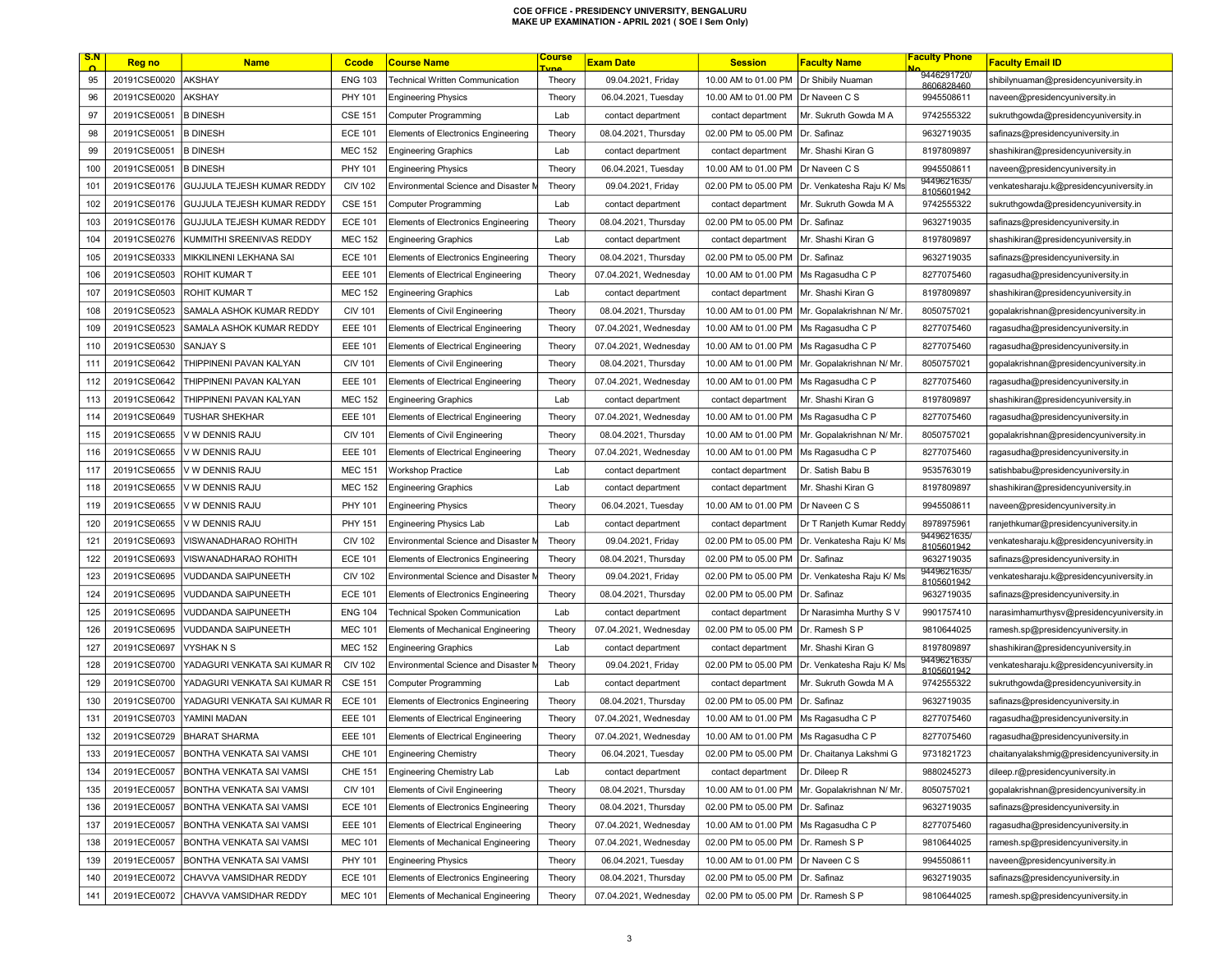| <u>S.N</u> | <b>Reg no</b> | <b>Name</b>                     | <b>Ccode</b>   | <b>Course Name</b>                        | <u>Course</u><br><u>'vne</u> | <b>Exam Date</b>      | <b>Session</b>                          | <b>Faculty Name</b>                             | <b>Faculty Phone</b>      | <b>Faculty Email ID</b>                   |
|------------|---------------|---------------------------------|----------------|-------------------------------------------|------------------------------|-----------------------|-----------------------------------------|-------------------------------------------------|---------------------------|-------------------------------------------|
| 95         | 20191CSE0020  | <b>AKSHAY</b>                   | <b>ENG 103</b> | <b>Technical Written Communication</b>    | Theory                       | 09.04.2021, Friday    | 10.00 AM to 01.00 PM                    | Dr Shibily Nuaman                               | 9446291720/<br>8606828460 | shibilynuaman@presidencyuniversity.in     |
| 96         | 20191CSE0020  | <b>AKSHAY</b>                   | PHY 101        | <b>Engineering Physics</b>                | Theory                       | 06.04.2021, Tuesday   | 10.00 AM to 01.00 PM                    | Dr Naveen C S                                   | 9945508611                | naveen@presidencyuniversity.in            |
| 97         | 20191CSE0051  | <b>B DINESH</b>                 | <b>CSE 151</b> | <b>Computer Programming</b>               | Lab                          | contact department    | contact department                      | Mr. Sukruth Gowda M A                           | 9742555322                | sukruthgowda@presidencyuniversity.in      |
| 98         | 20191CSE0051  | <b>B DINESH</b>                 | <b>ECE 101</b> | Elements of Electronics Engineering       | Theory                       | 08.04.2021, Thursday  | 02.00 PM to 05.00 PM                    | Dr. Safinaz                                     | 9632719035                | safinazs@presidencyuniversity.in          |
| 99         | 20191CSE0051  | <b>B DINESH</b>                 | <b>MEC 152</b> | <b>Engineering Graphics</b>               | Lab                          | contact department    | contact department                      | Mr. Shashi Kiran G                              | 8197809897                | shashikiran@presidencyuniversity.in       |
| 100        | 20191CSE0051  | <b>B DINESH</b>                 | PHY 101        | <b>Engineering Physics</b>                | Theory                       | 06.04.2021, Tuesday   | 10.00 AM to 01.00 PM                    | Dr Naveen C S                                   | 9945508611                | naveen@presidencyuniversity.in            |
| 101        | 20191CSE0176  | GUJJULA TEJESH KUMAR REDDY      | <b>CIV 102</b> | Environmental Science and Disaster M      | Theory                       | 09.04.2021, Friday    | 02.00 PM to 05.00 PM                    | Dr. Venkatesha Raju K/ Ms                       | 9449621635<br>8105601942  | venkatesharaju.k@presidencyuniversity.in  |
| 102        | 20191CSE0176  | GUJJULA TEJESH KUMAR REDDY      | <b>CSE 151</b> | <b>Computer Programming</b>               | Lab                          | contact department    | contact department                      | Mr. Sukruth Gowda M A                           | 9742555322                | sukruthgowda@presidencyuniversity.in      |
| 103        | 20191CSE0176  | GUJJULA TEJESH KUMAR REDDY      | <b>ECE 101</b> | Elements of Electronics Engineering       | Theory                       | 08.04.2021, Thursday  | 02.00 PM to 05.00 PM                    | Dr. Safinaz                                     | 9632719035                | safinazs@presidencyuniversity.in          |
| 104        | 20191CSE0276  | KUMMITHI SREENIVAS REDDY        | <b>MEC 152</b> | <b>Engineering Graphics</b>               | Lab                          | contact department    | contact department                      | Mr. Shashi Kiran G                              | 8197809897                | shashikiran@presidencyuniversity.in       |
| 105        | 20191CSE0333  | MIKKILINENI LEKHANA SAI         | <b>ECE 101</b> | Elements of Electronics Engineering       | Theory                       | 08.04.2021, Thursday  | 02.00 PM to 05.00 PM                    | Dr. Safinaz                                     | 9632719035                | safinazs@presidencyuniversity.in          |
| 106        | 20191CSE0503  | ROHIT KUMAR T                   | <b>EEE 101</b> | <b>Elements of Electrical Engineering</b> | Theory                       | 07.04.2021, Wednesday | 10.00 AM to 01.00 PM                    | Ms Ragasudha C P                                | 8277075460                | ragasudha@presidencyuniversity.in         |
| 107        | 20191CSE0503  | ROHIT KUMAR T                   | <b>MEC 152</b> | <b>Engineering Graphics</b>               | Lab                          | contact department    | contact department                      | Mr. Shashi Kiran G                              | 8197809897                | shashikiran@presidencyuniversity.in       |
| 108        | 20191CSE0523  | SAMALA ASHOK KUMAR REDDY        | <b>CIV 101</b> | Elements of Civil Engineering             | Theory                       | 08.04.2021, Thursday  | 10.00 AM to 01.00 PM                    | Mr. Gopalakrishnan N/ Mr.                       | 8050757021                | gopalakrishnan@presidencyuniversity.in    |
| 109        | 20191CSE0523  | SAMALA ASHOK KUMAR REDDY        | <b>EEE 101</b> | Elements of Electrical Engineering        | Theory                       | 07.04.2021, Wednesday | 10.00 AM to 01.00 PM                    | Ms Ragasudha C P                                | 8277075460                | ragasudha@presidencyuniversity.in         |
| 110        | 20191CSE0530  | SANJAY S                        | <b>EEE 101</b> | <b>Elements of Electrical Engineering</b> | Theory                       | 07.04.2021, Wednesday | 10.00 AM to 01.00 PM                    | Ms Ragasudha C P                                | 8277075460                | ragasudha@presidencyuniversity.in         |
| 111        | 20191CSE0642  | THIPPINENI PAVAN KALYAN         | <b>CIV 101</b> | <b>Elements of Civil Engineering</b>      | Theory                       | 08.04.2021, Thursday  | 10.00 AM to 01.00 PM                    | Mr. Gopalakrishnan N/ Mr                        | 8050757021                | gopalakrishnan@presidencyuniversity.in    |
| 112        | 20191CSE0642  | THIPPINENI PAVAN KALYAN         | <b>EEE 101</b> | <b>Elements of Electrical Engineering</b> | Theory                       | 07.04.2021, Wednesday | 10.00 AM to 01.00 PM                    | Ms Ragasudha C P                                | 8277075460                | ragasudha@presidencyuniversity.in         |
| 113        | 20191CSE0642  | THIPPINENI PAVAN KALYAN         | <b>MEC 152</b> | <b>Engineering Graphics</b>               | Lab                          | contact department    | contact department                      | Mr. Shashi Kiran G                              | 8197809897                | shashikiran@presidencyuniversity.in       |
| 114        | 20191CSE0649  | <b>TUSHAR SHEKHAR</b>           | <b>EEE 101</b> | Elements of Electrical Engineering        | Theory                       | 07.04.2021, Wednesday | 10.00 AM to 01.00 PM                    | Ms Ragasudha C P                                | 8277075460                | ragasudha@presidencyuniversity.in         |
| 115        | 20191CSE0655  | V W DENNIS RAJU                 | <b>CIV 101</b> | <b>Elements of Civil Engineering</b>      | Theory                       | 08.04.2021, Thursday  | 10.00 AM to 01.00 PM                    | Mr. Gopalakrishnan N/ Mr                        | 8050757021                | gopalakrishnan@presidencyuniversity.in    |
| 116        | 20191CSE0655  | V W DENNIS RAJU                 | <b>EEE 101</b> | Elements of Electrical Engineering        | Theory                       | 07.04.2021, Wednesday | 10.00 AM to 01.00 PM                    | Ms Ragasudha C P                                | 8277075460                | ragasudha@presidencyuniversity.in         |
| 117        | 20191CSE0655  | V W DENNIS RAJU                 | <b>MEC 151</b> | <b>Workshop Practice</b>                  | Lab                          | contact department    | contact department                      | Dr. Satish Babu B                               | 9535763019                | satishbabu@presidencyuniversity.in        |
| 118        | 20191CSE0655  | V W DENNIS RAJU                 | <b>MEC 152</b> | <b>Engineering Graphics</b>               | Lab                          | contact department    | contact department                      | Mr. Shashi Kiran G                              | 8197809897                | shashikiran@presidencyuniversity.in       |
| 119        | 20191CSE0655  | V W DENNIS RAJU                 | PHY 101        | <b>Engineering Physics</b>                | Theory                       | 06.04.2021, Tuesday   | 10.00 AM to 01.00 PM                    | Dr Naveen C S                                   | 9945508611                | naveen@presidencyuniversity.in            |
| 120        | 20191CSE0655  | V W DENNIS RAJU                 | <b>PHY 151</b> | <b>Engineering Physics Lab</b>            | Lab                          | contact department    | contact department                      | Dr T Ranjeth Kumar Reddy                        | 8978975961                | ranjethkumar@presidencyuniversity.in      |
| 121        | 20191CSE0693  | VISWANADHARAO ROHITH            | <b>CIV 102</b> | Environmental Science and Disaster M      | Theory                       | 09.04.2021, Friday    | 02.00 PM to 05.00 PM                    | Dr. Venkatesha Raju K/ Ms                       | 9449621635/<br>8105601942 | venkatesharaju.k@presidencyuniversity.in  |
| 122        | 20191CSE0693  | VISWANADHARAO ROHITH            | <b>ECE 101</b> | Elements of Electronics Engineering       | Theory                       | 08.04.2021, Thursday  | 02.00 PM to 05.00 PM                    | Dr. Safinaz                                     | 9632719035                | safinazs@presidencyuniversity.in          |
| 123        | 20191CSE0695  | <b>VUDDANDA SAIPUNEETH</b>      | <b>CIV 102</b> | Environmental Science and Disaster M      | Theory                       | 09.04.2021, Friday    | 02.00 PM to 05.00 PM                    | Dr. Venkatesha Raju K/ Ms                       | 9449621635/<br>8105601942 | venkatesharaju.k@presidencyuniversity.in  |
| 124        | 20191CSE0695  | <b>VUDDANDA SAIPUNEETH</b>      | <b>ECE 101</b> | Elements of Electronics Engineering       | Theory                       | 08.04.2021, Thursday  | 02.00 PM to 05.00 PM                    | Dr. Safinaz                                     | 9632719035                | safinazs@presidencyuniversity.in          |
| 125        | 20191CSE0695  | VUDDANDA SAIPUNEETH             | <b>ENG 104</b> | <b>Technical Spoken Communication</b>     | Lab                          | contact department    | contact department                      | Dr Narasimha Murthy S V                         | 9901757410                | narasimhamurthysv@presidencyuniversity.in |
| 126        | 20191CSE0695  | VUDDANDA SAIPUNEETH             | <b>MEC 101</b> | Elements of Mechanical Engineering        | Theory                       | 07.04.2021, Wednesday | 02.00 PM to 05.00 PM                    | Dr. Ramesh S P                                  | 9810644025                | ramesh.sp@presidencyuniversity.in         |
| 127        | 20191CSE0697  | VYSHAK N S                      | <b>MEC 152</b> | <b>Engineering Graphics</b>               | Lab                          | contact department    | contact department                      | Mr. Shashi Kiran G                              | 8197809897                | shashikiran@presidencyuniversity.in       |
| 128        | 20191CSE0700  | YADAGURI VENKATA SAI KUMAR R    | <b>CIV 102</b> | Environmental Science and Disaster M      | Theory                       | 09.04.2021, Friday    | 02.00 PM to 05.00 PM                    | Dr. Venkatesha Raju K/ Ms                       | 9449621635/<br>8105601942 | venkatesharaju.k@presidencyuniversity.in  |
| 129        | 20191CSE0700  | YADAGURI VENKATA SAI KUMAR R    | <b>CSE 151</b> | Computer Programming                      | Lab                          | contact department    | contact department                      | Mr. Sukruth Gowda M A                           | 9742555322                | sukruthgowda@presidencyuniversity.in      |
| 130        | 20191CSE0700  | YADAGURI VENKATA SAI KUMAR R    | <b>ECE 101</b> | Elements of Electronics Engineering       | Theory                       | 08.04.2021, Thursday  | 02.00 PM to 05.00 PM                    | Dr. Safinaz                                     | 9632719035                | safinazs@presidencyuniversity.in          |
| 131        | 20191CSE0703  | YAMINI MADAN                    | <b>EEE 101</b> | Elements of Electrical Engineering        | Theory                       | 07.04.2021, Wednesday | 10.00 AM to 01.00 PM                    | Ms Ragasudha C P                                | 8277075460                | ragasudha@presidencyuniversity.in         |
| 132        | 20191CSE0729  | <b>BHARAT SHARMA</b>            | <b>EEE 101</b> | Elements of Electrical Engineering        | Theory                       | 07.04.2021, Wednesday | 10.00 AM to 01.00 PM   Ms Ragasudha C P |                                                 | 8277075460                | ragasudha@presidencyuniversity.in         |
| 133        | 20191ECE0057  | BONTHA VENKATA SAI VAMSI        | <b>CHE 101</b> | Engineering Chemistry                     | Theory                       | 06.04.2021, Tuesday   | 02.00 PM to 05.00 PM                    | Dr. Chaitanya Lakshmi G                         | 9731821723                | chaitanyalakshmig@presidencyuniversity.in |
| 134        | 20191ECE0057  | <b>BONTHA VENKATA SAI VAMSI</b> | <b>CHE 151</b> | <b>Engineering Chemistry Lab</b>          | Lab                          | contact department    | contact department                      | Dr. Dileep R                                    | 9880245273                | dileep.r@presidencyuniversity.in          |
| 135        | 20191ECE0057  | BONTHA VENKATA SAI VAMSI        | <b>CIV 101</b> | Elements of Civil Engineering             | Theory                       | 08.04.2021, Thursday  |                                         | 10.00 AM to 01.00 PM   Mr. Gopalakrishnan N/ Mr | 8050757021                | gopalakrishnan@presidencyuniversity.in    |
| 136        | 20191ECE0057  | BONTHA VENKATA SAI VAMSI        | <b>ECE 101</b> | Elements of Electronics Engineering       | Theory                       | 08.04.2021, Thursday  | 02.00 PM to 05.00 PM   Dr. Safinaz      |                                                 | 9632719035                | safinazs@presidencyuniversity.in          |
| 137        | 20191ECE0057  | BONTHA VENKATA SAI VAMSI        | <b>EEE 101</b> | Elements of Electrical Engineering        | Theory                       | 07.04.2021, Wednesday | 10.00 AM to 01.00 PM                    | Ms Ragasudha C P                                | 8277075460                | ragasudha@presidencyuniversity.in         |
| 138        | 20191ECE0057  | BONTHA VENKATA SAI VAMSI        | <b>MEC 101</b> | Elements of Mechanical Engineering        | Theory                       | 07.04.2021, Wednesday | 02.00 PM to 05.00 PM                    | Dr. Ramesh S P                                  | 9810644025                | ramesh.sp@presidencyuniversity.in         |
| 139        | 20191ECE0057  | BONTHA VENKATA SAI VAMSI        | PHY 101        | <b>Engineering Physics</b>                | Theory                       | 06.04.2021, Tuesday   | 10.00 AM to 01.00 PM                    | Dr Naveen C S                                   | 9945508611                | naveen@presidencyuniversity.in            |
| 140        | 20191ECE0072  | CHAVVA VAMSIDHAR REDDY          | <b>ECE 101</b> | Elements of Electronics Engineering       | Theory                       | 08.04.2021, Thursday  | 02.00 PM to 05.00 PM                    | Dr. Safinaz                                     | 9632719035                | safinazs@presidencyuniversity.in          |
| 141        | 20191ECE0072  | CHAVVA VAMSIDHAR REDDY          | <b>MEC 101</b> | Elements of Mechanical Engineering        | Theory                       | 07.04.2021, Wednesday | 02.00 PM to 05.00 PM Dr. Ramesh S P     |                                                 | 9810644025                | ramesh.sp@presidencyuniversity.in         |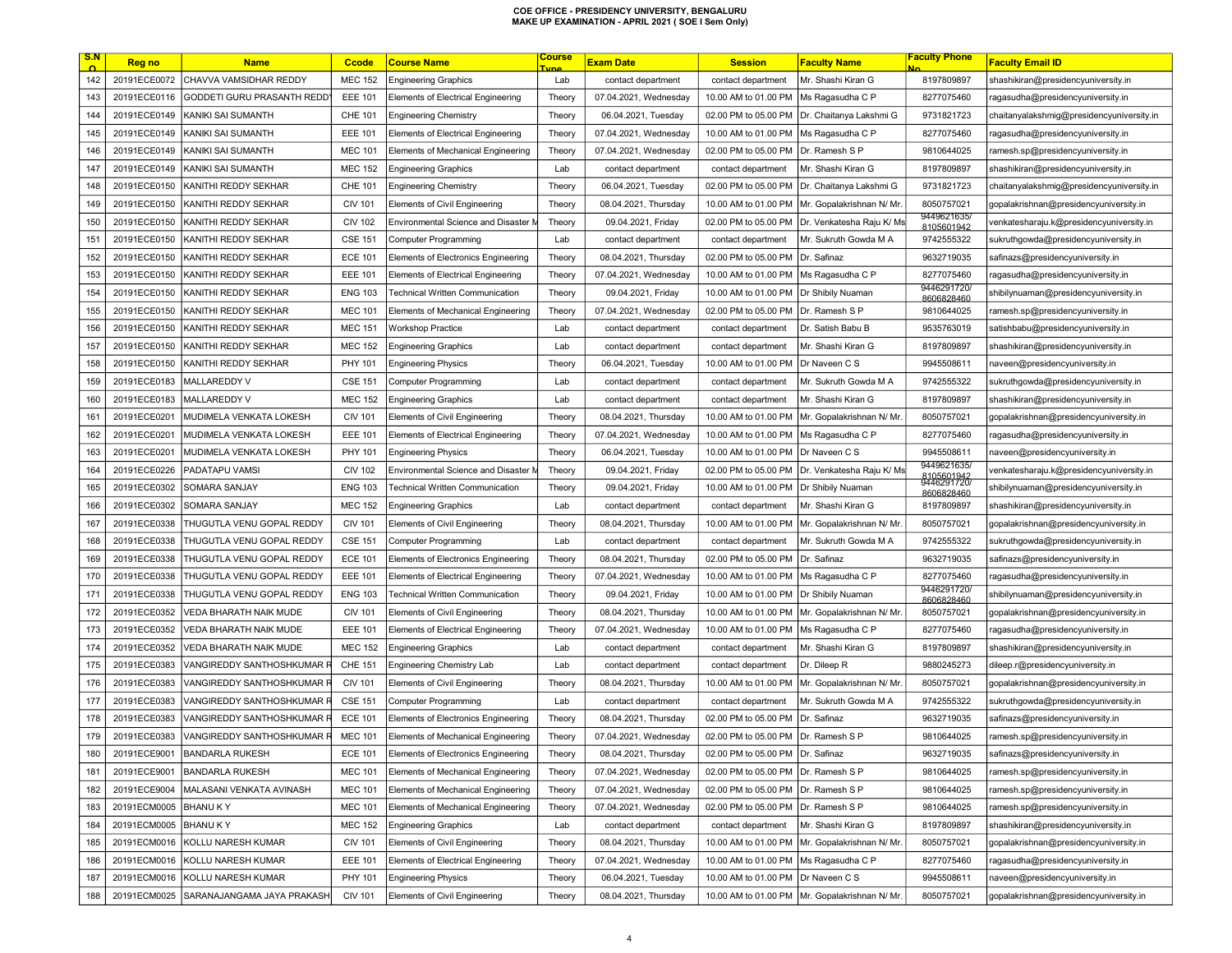| CHAVVA VAMSIDHAR REDDY<br>142<br>20191ECE0072<br>8197809897<br><b>MEC 152</b><br><b>Engineering Graphics</b><br>Lab<br>contact department<br>contact department<br>Mr. Shashi Kiran G<br>shashikiran@presidencyuniversity.in<br>143<br>20191ECE0116<br>GODDETI GURU PRASANTH REDD<br><b>EEE 101</b><br>10.00 AM to 01.00 PM<br>Ms Ragasudha C P<br>8277075460<br><b>Elements of Electrical Engineering</b><br>Theory<br>07.04.2021, Wednesday<br>ragasudha@presidencyuniversity.in<br>20191ECE0149<br>KANIKI SAI SUMANTH<br><b>CHE 101</b><br>02.00 PM to 05.00 PM<br>Dr. Chaitanya Lakshmi G<br>9731821723<br>144<br><b>Engineering Chemistry</b><br>Theory<br>06.04.2021, Tuesday<br>chaitanyalakshmig@presidencyuniversity.in<br>145<br>20191ECE0149<br>KANIKI SAI SUMANTH<br><b>EEE 101</b><br>10.00 AM to 01.00 PM<br>8277075460<br>Elements of Electrical Engineering<br>Theory<br>07.04.2021, Wednesday<br>Ms Ragasudha C P<br>ragasudha@presidencyuniversity.in<br>146<br>20191ECE0149<br>KANIKI SAI SUMANTH<br><b>MEC 101</b><br>07.04.2021, Wednesday<br>02.00 PM to 05.00 PM<br>Dr. Ramesh S P<br>9810644025<br>Elements of Mechanical Engineering<br>Theory<br>ramesh.sp@presidencyuniversity.in<br>147<br>20191ECE0149<br>KANIKI SAI SUMANTH<br><b>MEC 152</b><br>8197809897<br><b>Engineering Graphics</b><br>Lab<br>contact department<br>contact department<br>Mr. Shashi Kiran G<br>shashikiran@presidencyuniversity.in<br>148<br>20191ECE0150<br>KANITHI REDDY SEKHAR<br>CHE 101<br>02.00 PM to 05.00 PM<br>9731821723<br><b>Engineering Chemistry</b><br>Theory<br>06.04.2021, Tuesday<br>Dr. Chaitanya Lakshmi G<br>chaitanyalakshmig@presidencyuniversity.in<br>149<br>KANITHI REDDY SEKHAR<br>8050757021<br>20191ECE0150<br><b>CIV 101</b><br><b>Elements of Civil Engineering</b><br>Theory<br>08.04.2021, Thursday<br>10.00 AM to 01.00 PM<br>Mr. Gopalakrishnan N/ Mr.<br>gopalakrishnan@presidencyuniversity.in<br>9449621635/<br>150<br>Dr. Venkatesha Raju K/ Ms<br>20191ECE0150<br>KANITHI REDDY SEKHAR<br><b>CIV 102</b><br>Environmental Science and Disaster M<br>09.04.2021, Friday<br>02.00 PM to 05.00 PM<br>venkatesharaju.k@presidencyuniversity.in<br>Theory<br>8105601942<br>151<br>20191ECE0150<br>KANITHI REDDY SEKHAR<br><b>CSE 151</b><br>Mr. Sukruth Gowda M A<br>9742555322<br><b>Computer Programming</b><br>Lab<br>contact department<br>contact department<br>sukruthgowda@presidencyuniversity.in<br><b>ECE 101</b><br>152<br>20191ECE0150<br>KANITHI REDDY SEKHAR<br>Elements of Electronics Engineering<br>Theory<br>08.04.2021, Thursday<br>02.00 PM to 05.00 PM<br>Dr. Safinaz<br>9632719035<br>safinazs@presidencyuniversity.in<br>153<br>20191ECE0150<br>KANITHI REDDY SEKHAR<br><b>EEE 101</b><br>10.00 AM to 01.00 PM<br>Ms Ragasudha C P<br>8277075460<br><b>Elements of Electrical Engineering</b><br>Theory<br>07.04.2021, Wednesday<br>ragasudha@presidencyuniversity.in<br>9446291720/<br>154<br>20191ECE0150<br>KANITHI REDDY SEKHAR<br><b>ENG 103</b><br>10.00 AM to 01.00 PM<br><b>Technical Written Communication</b><br>Theory<br>09.04.2021, Friday<br>Dr Shibily Nuaman<br>shibilynuaman@presidencyuniversity.in<br>8606828460<br>155<br><b>MEC 101</b><br>20191ECE0150<br>KANITHI REDDY SEKHAR<br>Elements of Mechanical Engineering<br>07.04.2021, Wednesday<br>02.00 PM to 05.00 PM<br>Dr. Ramesh S P<br>9810644025<br>ramesh.sp@presidencyuniversity.in<br>Theory<br>156<br>20191ECE0150<br>KANITHI REDDY SEKHAR<br><b>MEC 151</b><br>Dr. Satish Babu B<br>9535763019<br><b>Workshop Practice</b><br>Lab<br>contact department<br>contact department<br>satishbabu@presidencyuniversity.in<br>157<br>20191ECE0150<br><b>MEC 152</b><br>8197809897<br>KANITHI REDDY SEKHAR<br><b>Engineering Graphics</b><br>Lab<br>contact department<br>contact department<br>Mr. Shashi Kiran G<br>shashikiran@presidencyuniversity.in<br>158<br>20191ECE0150<br>KANITHI REDDY SEKHAR<br>PHY 101<br>Dr Naveen C S<br>9945508611<br><b>Engineering Physics</b><br>Theory<br>06.04.2021, Tuesday<br>10.00 AM to 01.00 PM<br>naveen@presidencyuniversity.in<br>159<br><b>MALLAREDDY V</b><br>9742555322<br>20191ECE0183<br><b>CSE 151</b><br>Computer Programming<br>Lab<br>contact department<br>Mr. Sukruth Gowda M A<br>sukruthgowda@presidencyuniversity.in<br>contact department<br>160<br><b>MALLAREDDY V</b><br>20191ECE0183<br><b>MEC 152</b><br>Lab<br>Mr. Shashi Kiran G<br>8197809897<br>shashikiran@presidencyuniversity.in<br><b>Engineering Graphics</b><br>contact department<br>contact department<br>161<br>20191ECE0201<br>MUDIMELA VENKATA LOKESH<br><b>CIV 101</b><br>8050757021<br><b>Elements of Civil Engineering</b><br>Theory<br>08.04.2021, Thursday<br>10.00 AM to 01.00 PM<br>Mr. Gopalakrishnan N/ Mr.<br>gopalakrishnan@presidencyuniversity.in<br>162<br>20191ECE0201<br>MUDIMELA VENKATA LOKESH<br><b>EEE 101</b><br><b>Elements of Electrical Engineering</b><br>Theory<br>07.04.2021, Wednesday<br>10.00 AM to 01.00 PM<br>Ms Ragasudha C P<br>8277075460<br>ragasudha@presidencyuniversity.in<br>163<br>20191ECE0201<br>MUDIMELA VENKATA LOKESH<br>PHY 101<br>10.00 AM to 01.00 PM<br>9945508611<br><b>Engineering Physics</b><br>Theory<br>06.04.2021, Tuesday<br>Dr Naveen C S<br>naveen@presidencyuniversity.in<br>9449621635/<br>164<br>20191ECE0226<br>PADATAPU VAMSI<br><b>CIV 102</b><br>02.00 PM to 05.00 PM<br>Dr. Venkatesha Raju K/ Ms<br>Environmental Science and Disaster M<br>Theory<br>09.04.2021, Friday<br>/enkatesharaju.k@presidencyuniversity.in<br>8105601942<br>9446291720/<br>165<br>20191ECE0302<br>SOMARA SANJAY<br><b>ENG 103</b><br>10.00 AM to 01.00 PM<br>Technical Written Communication<br>09.04.2021, Friday<br>Dr Shibily Nuaman<br>shibilynuaman@presidencyuniversity.in<br>Theory<br>8606828460<br>166<br>20191ECE0302<br>SOMARA SANJAY<br><b>MEC 152</b><br>Mr. Shashi Kiran G<br>8197809897<br><b>Engineering Graphics</b><br>Lab<br>contact department<br>contact department<br>shashikiran@presidencyuniversity.in<br>167<br>20191ECE0338<br>THUGUTLA VENU GOPAL REDDY<br><b>CIV 101</b><br>8050757021<br><b>Elements of Civil Engineering</b><br>Theory<br>08.04.2021, Thursday<br>10.00 AM to 01.00 PM<br>Mr. Gopalakrishnan N/ Mr.<br>gopalakrishnan@presidencyuniversity.in<br>168<br>20191ECE0338<br>THUGUTLA VENU GOPAL REDDY<br><b>CSE 151</b><br>Mr. Sukruth Gowda M A<br>9742555322<br><b>Computer Programming</b><br>Lab<br>sukruthgowda@presidencyuniversity.in<br>contact department<br>contact department<br>169<br>THUGUTLA VENU GOPAL REDDY<br>9632719035<br>20191ECE0338<br><b>ECE 101</b><br>Elements of Electronics Engineering<br>Theory<br>08.04.2021, Thursday<br>02.00 PM to 05.00 PM<br>Dr. Safinaz<br>safinazs@presidencyuniversity.in<br>170<br>THUGUTLA VENU GOPAL REDDY<br>8277075460<br>20191ECE0338<br><b>EEE 101</b><br>Elements of Electrical Engineering<br>07.04.2021, Wednesday<br>10.00 AM to 01.00 PM<br>Ms Ragasudha C P<br>ragasudha@presidencyuniversity.in<br>Theory<br>9446291720/<br>171<br>20191ECE0338<br>THUGUTLA VENU GOPAL REDDY<br><b>ENG 103</b><br><b>Technical Written Communication</b><br>10.00 AM to 01.00 PM<br>Theory<br>09.04.2021, Friday<br>Dr Shibily Nuaman<br>shibilynuaman@presidencyuniversity.in<br>8606828460<br>172<br>20191ECE0352<br>VEDA BHARATH NAIK MUDE<br><b>CIV 101</b><br><b>Elements of Civil Engineering</b><br>08.04.2021, Thursday<br>10.00 AM to 01.00 PM<br>Mr. Gopalakrishnan N/ Mr.<br>8050757021<br>gopalakrishnan@presidencyuniversity.in<br>Theory<br>173<br>20191ECE0352<br><b>EEE 101</b><br>10.00 AM to 01.00 PM<br>8277075460<br>VEDA BHARATH NAIK MUDE<br><b>Elements of Electrical Engineering</b><br>Theory<br>07.04.2021, Wednesday<br>Ms Ragasudha C P<br>ragasudha@presidencyuniversity.in<br>174<br>20191ECE0352<br><b>MEC 152</b><br>Mr. Shashi Kiran G<br>8197809897<br>VEDA BHARATH NAIK MUDE<br><b>Engineering Graphics</b><br>Lab<br>contact department<br>contact department<br>shashikiran@presidencyuniversity.in<br>175<br><b>CHE 151</b><br>9880245273<br>20191ECE0383<br>VANGIREDDY SANTHOSHKUMAR F<br>Engineering Chemistry Lab<br>Lab<br>Dr. Dileep R<br>dileep.r@presidencyuniversity.in<br>contact department<br>contact department<br>176<br>20191ECE0383<br>VANGIREDDY SANTHOSHKUMAR F<br><b>CIV 101</b><br>Mr. Gopalakrishnan N/ Mr.<br>8050757021<br>Elements of Civil Engineering<br>Theory<br>08.04.2021, Thursday<br>10.00 AM to 01.00 PM<br>gopalakrishnan@presidencyuniversity.in<br>177<br>20191ECE0383<br>VANGIREDDY SANTHOSHKUMAR I<br><b>CSE 151</b><br>Mr. Sukruth Gowda M A<br>9742555322<br>Computer Programming<br>Lab<br>contact department<br>contact department<br>sukruthgowda@presidencyuniversity.in<br>178<br>20191ECE0383<br>VANGIREDDY SANTHOSHKUMAR I<br><b>ECE 101</b><br>02.00 PM to 05.00 PM<br>9632719035<br><b>Elements of Electronics Engineering</b><br>Theory<br>08.04.2021, Thursday<br>Dr. Safinaz<br>safinazs@presidencyuniversity.in<br>179<br>20191ECE0383<br>VANGIREDDY SANTHOSHKUMAR R<br><b>MEC 101</b><br>02.00 PM to 05.00 PM   Dr. Ramesh S P<br>Elements of Mechanical Engineering<br>Theory<br>07.04.2021, Wednesday<br>9810644025<br>ramesh.sp@presidencyuniversity.in<br>02.00 PM to 05.00 PM Dr. Safinaz<br><b>BANDARLA RUKESH</b><br>Elements of Electronics Engineering<br>08.04.2021, Thursday<br><b>ECE 101</b><br>180<br>20191ECE9001<br>Theory<br>9632719035<br>safinazs@presidencyuniversity.in<br>181<br>20191ECE9001<br><b>BANDARLA RUKESH</b><br><b>MEC 101</b><br>Elements of Mechanical Engineering<br>07.04.2021, Wednesday<br>02.00 PM to 05.00 PM Dr. Ramesh S P<br>9810644025<br>Theory<br>ramesh.sp@presidencyuniversity.in<br>MALASANI VENKATA AVINASH<br><b>MEC 101</b><br>02.00 PM to 05.00 PM<br>9810644025<br>182<br>20191ECE9004<br>Elements of Mechanical Engineering<br>Theory<br>07.04.2021, Wednesday<br>Dr. Ramesh S P<br>ramesh.sp@presidencyuniversity.in<br>183<br>20191ECM0005<br><b>BHANU KY</b><br><b>MEC 101</b><br>Theory<br>02.00 PM to 05.00 PM<br>Dr. Ramesh S P<br>9810644025<br>ramesh.sp@presidencyuniversity.in<br>Elements of Mechanical Engineering<br>07.04.2021, Wednesday<br>184<br>20191ECM0005<br><b>BHANU KY</b><br><b>MEC 152</b><br>Lab<br>Mr. Shashi Kiran G<br>8197809897<br>shashikiran@presidencyuniversity.in<br><b>Engineering Graphics</b><br>contact department<br>contact department<br>KOLLU NARESH KUMAR<br><b>CIV 101</b><br>8050757021<br>185<br>20191ECM0016<br>08.04.2021, Thursday<br>10.00 AM to 01.00 PM<br>Mr. Gopalakrishnan N/ Mr.<br>gopalakrishnan@presidencyuniversity.in<br>Elements of Civil Engineering<br>Theory<br>186<br>20191ECM0016<br>KOLLU NARESH KUMAR<br><b>EEE 101</b><br>Elements of Electrical Engineering<br>Theory<br>07.04.2021, Wednesday<br>10.00 AM to 01.00 PM<br>Ms Ragasudha C P<br>8277075460<br>ragasudha@presidencyuniversity.in<br>9945508611<br>187<br>20191ECM0016<br>KOLLU NARESH KUMAR<br>PHY 101<br><b>Engineering Physics</b><br>Theory<br>06.04.2021, Tuesday<br>10.00 AM to 01.00 PM<br>Dr Naveen C S<br>naveen@presidencyuniversity.in<br><b>CIV 101</b><br>10.00 AM to 01.00 PM   Mr. Gopalakrishnan N/ Mr.<br>188<br>20191ECM0025<br>SARANAJANGAMA JAYA PRAKASH<br>Elements of Civil Engineering<br>Theory<br>08.04.2021, Thursday<br>8050757021<br>gopalakrishnan@presidencyuniversity.in | <u>S.N</u> | <b>Reg no</b> | <b>Name</b> | Ccode | <b>Course Name</b> | Course<br><u>I vne</u> | <b>Exam Date</b> | <b>Session</b> | <b>Faculty Name</b> | <b>Faculty Phone</b> | <b>Faculty Email ID</b> |
|-----------------------------------------------------------------------------------------------------------------------------------------------------------------------------------------------------------------------------------------------------------------------------------------------------------------------------------------------------------------------------------------------------------------------------------------------------------------------------------------------------------------------------------------------------------------------------------------------------------------------------------------------------------------------------------------------------------------------------------------------------------------------------------------------------------------------------------------------------------------------------------------------------------------------------------------------------------------------------------------------------------------------------------------------------------------------------------------------------------------------------------------------------------------------------------------------------------------------------------------------------------------------------------------------------------------------------------------------------------------------------------------------------------------------------------------------------------------------------------------------------------------------------------------------------------------------------------------------------------------------------------------------------------------------------------------------------------------------------------------------------------------------------------------------------------------------------------------------------------------------------------------------------------------------------------------------------------------------------------------------------------------------------------------------------------------------------------------------------------------------------------------------------------------------------------------------------------------------------------------------------------------------------------------------------------------------------------------------------------------------------------------------------------------------------------------------------------------------------------------------------------------------------------------------------------------------------------------------------------------------------------------------------------------------------------------------------------------------------------------------------------------------------------------------------------------------------------------------------------------------------------------------------------------------------------------------------------------------------------------------------------------------------------------------------------------------------------------------------------------------------------------------------------------------------------------------------------------------------------------------------------------------------------------------------------------------------------------------------------------------------------------------------------------------------------------------------------------------------------------------------------------------------------------------------------------------------------------------------------------------------------------------------------------------------------------------------------------------------------------------------------------------------------------------------------------------------------------------------------------------------------------------------------------------------------------------------------------------------------------------------------------------------------------------------------------------------------------------------------------------------------------------------------------------------------------------------------------------------------------------------------------------------------------------------------------------------------------------------------------------------------------------------------------------------------------------------------------------------------------------------------------------------------------------------------------------------------------------------------------------------------------------------------------------------------------------------------------------------------------------------------------------------------------------------------------------------------------------------------------------------------------------------------------------------------------------------------------------------------------------------------------------------------------------------------------------------------------------------------------------------------------------------------------------------------------------------------------------------------------------------------------------------------------------------------------------------------------------------------------------------------------------------------------------------------------------------------------------------------------------------------------------------------------------------------------------------------------------------------------------------------------------------------------------------------------------------------------------------------------------------------------------------------------------------------------------------------------------------------------------------------------------------------------------------------------------------------------------------------------------------------------------------------------------------------------------------------------------------------------------------------------------------------------------------------------------------------------------------------------------------------------------------------------------------------------------------------------------------------------------------------------------------------------------------------------------------------------------------------------------------------------------------------------------------------------------------------------------------------------------------------------------------------------------------------------------------------------------------------------------------------------------------------------------------------------------------------------------------------------------------------------------------------------------------------------------------------------------------------------------------------------------------------------------------------------------------------------------------------------------------------------------------------------------------------------------------------------------------------------------------------------------------------------------------------------------------------------------------------------------------------------------------------------------------------------------------------------------------------------------------------------------------------------------------------------------------------------------------------------------------------------------------------------------------------------------------------------------------------------------------------------------------------------------------------------------------------------------------------------------------------------------------------------------------------------------------------------------------------------------------------------------------------------------------------------------------------------------------------------------------------------------------------------------------------------------------------------------------------------------------------------------------------------------------------------------------------------------------------------------------------------------------------------------------------------------------------------------------------------------------------------------------------------------------------------------------------------------------------------------------------------------------------------------------------------------------------------------------------------------------------------------------------------------------------------------------------------------------------------------------------------------------------------------------------------------------------------------------------------------------------------------------------------------------------------------------------------------------------------------------------------------------------------------------------------------------------------------------------------------------------------------------------------------------------------------------------------------------------------------------------------------------------------------------------------------------------------------------------------------------------------------------------------------------------------------------------------------------------------------------------------------------------------------------------------------------------------------------------------------------------------------------------------------------------------------------------------------------------------------------------------------------------------------------------------------------------------------------------------------------------------------------------------------------------------------------------------------------------------------------------------------------------------------------------------------------------------------------------------------------------------------------------------------------------------------------------------------------------------------------------------------------------------------------------------------------------------------------------------------------------------------------------------------------------------------------------------------------------------------------------------------------------------------------------------------------------------------------------------------------------------------------------------------------------------------------------------------------------------------------------------------------------------------------------------------------------------------------------------------------------------------------------------------------------------------------------------------------------------------------------------------------------------------------------------------------------------------------------------------------------------------------------------------------------------------------------------------------------------------------------------------------------------------|------------|---------------|-------------|-------|--------------------|------------------------|------------------|----------------|---------------------|----------------------|-------------------------|
|                                                                                                                                                                                                                                                                                                                                                                                                                                                                                                                                                                                                                                                                                                                                                                                                                                                                                                                                                                                                                                                                                                                                                                                                                                                                                                                                                                                                                                                                                                                                                                                                                                                                                                                                                                                                                                                                                                                                                                                                                                                                                                                                                                                                                                                                                                                                                                                                                                                                                                                                                                                                                                                                                                                                                                                                                                                                                                                                                                                                                                                                                                                                                                                                                                                                                                                                                                                                                                                                                                                                                                                                                                                                                                                                                                                                                                                                                                                                                                                                                                                                                                                                                                                                                                                                                                                                                                                                                                                                                                                                                                                                                                                                                                                                                                                                                                                                                                                                                                                                                                                                                                                                                                                                                                                                                                                                                                                                                                                                                                                                                                                                                                                                                                                                                                                                                                                                                                                                                                                                                                                                                                                                                                                                                                                                                                                                                                                                                                                                                                                                                                                                                                                                                                                                                                                                                                                                                                                                                                                                                                                                                                                                                                                                                                                                                                                                                                                                                                                                                                                                                                                                                                                                                                                                                                                                                                                                                                                                                                                                                                                                                                                                                                                                                                                                                                                                                                                                                                                                                                                                                                                                                                                                                                                                                                                                                                                                                                                                                                                                                                                                                                                                                                                                                                                                                                                                                                                                                                                                                                                                                                                                                                                                                                                                                                                                                                                                                                                                                                                                                                                                                                                                                                                                                                                                                                                                                                                                                                                                                                                                                                                                                                                                                                                                                                                                                                                                                                                                                                                                                                                                                                                                                                                                                                                                                                                                                                                                                       |            |               |             |       |                    |                        |                  |                |                     |                      |                         |
|                                                                                                                                                                                                                                                                                                                                                                                                                                                                                                                                                                                                                                                                                                                                                                                                                                                                                                                                                                                                                                                                                                                                                                                                                                                                                                                                                                                                                                                                                                                                                                                                                                                                                                                                                                                                                                                                                                                                                                                                                                                                                                                                                                                                                                                                                                                                                                                                                                                                                                                                                                                                                                                                                                                                                                                                                                                                                                                                                                                                                                                                                                                                                                                                                                                                                                                                                                                                                                                                                                                                                                                                                                                                                                                                                                                                                                                                                                                                                                                                                                                                                                                                                                                                                                                                                                                                                                                                                                                                                                                                                                                                                                                                                                                                                                                                                                                                                                                                                                                                                                                                                                                                                                                                                                                                                                                                                                                                                                                                                                                                                                                                                                                                                                                                                                                                                                                                                                                                                                                                                                                                                                                                                                                                                                                                                                                                                                                                                                                                                                                                                                                                                                                                                                                                                                                                                                                                                                                                                                                                                                                                                                                                                                                                                                                                                                                                                                                                                                                                                                                                                                                                                                                                                                                                                                                                                                                                                                                                                                                                                                                                                                                                                                                                                                                                                                                                                                                                                                                                                                                                                                                                                                                                                                                                                                                                                                                                                                                                                                                                                                                                                                                                                                                                                                                                                                                                                                                                                                                                                                                                                                                                                                                                                                                                                                                                                                                                                                                                                                                                                                                                                                                                                                                                                                                                                                                                                                                                                                                                                                                                                                                                                                                                                                                                                                                                                                                                                                                                                                                                                                                                                                                                                                                                                                                                                                                                                                                                                       |            |               |             |       |                    |                        |                  |                |                     |                      |                         |
|                                                                                                                                                                                                                                                                                                                                                                                                                                                                                                                                                                                                                                                                                                                                                                                                                                                                                                                                                                                                                                                                                                                                                                                                                                                                                                                                                                                                                                                                                                                                                                                                                                                                                                                                                                                                                                                                                                                                                                                                                                                                                                                                                                                                                                                                                                                                                                                                                                                                                                                                                                                                                                                                                                                                                                                                                                                                                                                                                                                                                                                                                                                                                                                                                                                                                                                                                                                                                                                                                                                                                                                                                                                                                                                                                                                                                                                                                                                                                                                                                                                                                                                                                                                                                                                                                                                                                                                                                                                                                                                                                                                                                                                                                                                                                                                                                                                                                                                                                                                                                                                                                                                                                                                                                                                                                                                                                                                                                                                                                                                                                                                                                                                                                                                                                                                                                                                                                                                                                                                                                                                                                                                                                                                                                                                                                                                                                                                                                                                                                                                                                                                                                                                                                                                                                                                                                                                                                                                                                                                                                                                                                                                                                                                                                                                                                                                                                                                                                                                                                                                                                                                                                                                                                                                                                                                                                                                                                                                                                                                                                                                                                                                                                                                                                                                                                                                                                                                                                                                                                                                                                                                                                                                                                                                                                                                                                                                                                                                                                                                                                                                                                                                                                                                                                                                                                                                                                                                                                                                                                                                                                                                                                                                                                                                                                                                                                                                                                                                                                                                                                                                                                                                                                                                                                                                                                                                                                                                                                                                                                                                                                                                                                                                                                                                                                                                                                                                                                                                                                                                                                                                                                                                                                                                                                                                                                                                                                                                                                       |            |               |             |       |                    |                        |                  |                |                     |                      |                         |
|                                                                                                                                                                                                                                                                                                                                                                                                                                                                                                                                                                                                                                                                                                                                                                                                                                                                                                                                                                                                                                                                                                                                                                                                                                                                                                                                                                                                                                                                                                                                                                                                                                                                                                                                                                                                                                                                                                                                                                                                                                                                                                                                                                                                                                                                                                                                                                                                                                                                                                                                                                                                                                                                                                                                                                                                                                                                                                                                                                                                                                                                                                                                                                                                                                                                                                                                                                                                                                                                                                                                                                                                                                                                                                                                                                                                                                                                                                                                                                                                                                                                                                                                                                                                                                                                                                                                                                                                                                                                                                                                                                                                                                                                                                                                                                                                                                                                                                                                                                                                                                                                                                                                                                                                                                                                                                                                                                                                                                                                                                                                                                                                                                                                                                                                                                                                                                                                                                                                                                                                                                                                                                                                                                                                                                                                                                                                                                                                                                                                                                                                                                                                                                                                                                                                                                                                                                                                                                                                                                                                                                                                                                                                                                                                                                                                                                                                                                                                                                                                                                                                                                                                                                                                                                                                                                                                                                                                                                                                                                                                                                                                                                                                                                                                                                                                                                                                                                                                                                                                                                                                                                                                                                                                                                                                                                                                                                                                                                                                                                                                                                                                                                                                                                                                                                                                                                                                                                                                                                                                                                                                                                                                                                                                                                                                                                                                                                                                                                                                                                                                                                                                                                                                                                                                                                                                                                                                                                                                                                                                                                                                                                                                                                                                                                                                                                                                                                                                                                                                                                                                                                                                                                                                                                                                                                                                                                                                                                                                                       |            |               |             |       |                    |                        |                  |                |                     |                      |                         |
|                                                                                                                                                                                                                                                                                                                                                                                                                                                                                                                                                                                                                                                                                                                                                                                                                                                                                                                                                                                                                                                                                                                                                                                                                                                                                                                                                                                                                                                                                                                                                                                                                                                                                                                                                                                                                                                                                                                                                                                                                                                                                                                                                                                                                                                                                                                                                                                                                                                                                                                                                                                                                                                                                                                                                                                                                                                                                                                                                                                                                                                                                                                                                                                                                                                                                                                                                                                                                                                                                                                                                                                                                                                                                                                                                                                                                                                                                                                                                                                                                                                                                                                                                                                                                                                                                                                                                                                                                                                                                                                                                                                                                                                                                                                                                                                                                                                                                                                                                                                                                                                                                                                                                                                                                                                                                                                                                                                                                                                                                                                                                                                                                                                                                                                                                                                                                                                                                                                                                                                                                                                                                                                                                                                                                                                                                                                                                                                                                                                                                                                                                                                                                                                                                                                                                                                                                                                                                                                                                                                                                                                                                                                                                                                                                                                                                                                                                                                                                                                                                                                                                                                                                                                                                                                                                                                                                                                                                                                                                                                                                                                                                                                                                                                                                                                                                                                                                                                                                                                                                                                                                                                                                                                                                                                                                                                                                                                                                                                                                                                                                                                                                                                                                                                                                                                                                                                                                                                                                                                                                                                                                                                                                                                                                                                                                                                                                                                                                                                                                                                                                                                                                                                                                                                                                                                                                                                                                                                                                                                                                                                                                                                                                                                                                                                                                                                                                                                                                                                                                                                                                                                                                                                                                                                                                                                                                                                                                                                                                       |            |               |             |       |                    |                        |                  |                |                     |                      |                         |
|                                                                                                                                                                                                                                                                                                                                                                                                                                                                                                                                                                                                                                                                                                                                                                                                                                                                                                                                                                                                                                                                                                                                                                                                                                                                                                                                                                                                                                                                                                                                                                                                                                                                                                                                                                                                                                                                                                                                                                                                                                                                                                                                                                                                                                                                                                                                                                                                                                                                                                                                                                                                                                                                                                                                                                                                                                                                                                                                                                                                                                                                                                                                                                                                                                                                                                                                                                                                                                                                                                                                                                                                                                                                                                                                                                                                                                                                                                                                                                                                                                                                                                                                                                                                                                                                                                                                                                                                                                                                                                                                                                                                                                                                                                                                                                                                                                                                                                                                                                                                                                                                                                                                                                                                                                                                                                                                                                                                                                                                                                                                                                                                                                                                                                                                                                                                                                                                                                                                                                                                                                                                                                                                                                                                                                                                                                                                                                                                                                                                                                                                                                                                                                                                                                                                                                                                                                                                                                                                                                                                                                                                                                                                                                                                                                                                                                                                                                                                                                                                                                                                                                                                                                                                                                                                                                                                                                                                                                                                                                                                                                                                                                                                                                                                                                                                                                                                                                                                                                                                                                                                                                                                                                                                                                                                                                                                                                                                                                                                                                                                                                                                                                                                                                                                                                                                                                                                                                                                                                                                                                                                                                                                                                                                                                                                                                                                                                                                                                                                                                                                                                                                                                                                                                                                                                                                                                                                                                                                                                                                                                                                                                                                                                                                                                                                                                                                                                                                                                                                                                                                                                                                                                                                                                                                                                                                                                                                                                                                                       |            |               |             |       |                    |                        |                  |                |                     |                      |                         |
|                                                                                                                                                                                                                                                                                                                                                                                                                                                                                                                                                                                                                                                                                                                                                                                                                                                                                                                                                                                                                                                                                                                                                                                                                                                                                                                                                                                                                                                                                                                                                                                                                                                                                                                                                                                                                                                                                                                                                                                                                                                                                                                                                                                                                                                                                                                                                                                                                                                                                                                                                                                                                                                                                                                                                                                                                                                                                                                                                                                                                                                                                                                                                                                                                                                                                                                                                                                                                                                                                                                                                                                                                                                                                                                                                                                                                                                                                                                                                                                                                                                                                                                                                                                                                                                                                                                                                                                                                                                                                                                                                                                                                                                                                                                                                                                                                                                                                                                                                                                                                                                                                                                                                                                                                                                                                                                                                                                                                                                                                                                                                                                                                                                                                                                                                                                                                                                                                                                                                                                                                                                                                                                                                                                                                                                                                                                                                                                                                                                                                                                                                                                                                                                                                                                                                                                                                                                                                                                                                                                                                                                                                                                                                                                                                                                                                                                                                                                                                                                                                                                                                                                                                                                                                                                                                                                                                                                                                                                                                                                                                                                                                                                                                                                                                                                                                                                                                                                                                                                                                                                                                                                                                                                                                                                                                                                                                                                                                                                                                                                                                                                                                                                                                                                                                                                                                                                                                                                                                                                                                                                                                                                                                                                                                                                                                                                                                                                                                                                                                                                                                                                                                                                                                                                                                                                                                                                                                                                                                                                                                                                                                                                                                                                                                                                                                                                                                                                                                                                                                                                                                                                                                                                                                                                                                                                                                                                                                                                                                       |            |               |             |       |                    |                        |                  |                |                     |                      |                         |
|                                                                                                                                                                                                                                                                                                                                                                                                                                                                                                                                                                                                                                                                                                                                                                                                                                                                                                                                                                                                                                                                                                                                                                                                                                                                                                                                                                                                                                                                                                                                                                                                                                                                                                                                                                                                                                                                                                                                                                                                                                                                                                                                                                                                                                                                                                                                                                                                                                                                                                                                                                                                                                                                                                                                                                                                                                                                                                                                                                                                                                                                                                                                                                                                                                                                                                                                                                                                                                                                                                                                                                                                                                                                                                                                                                                                                                                                                                                                                                                                                                                                                                                                                                                                                                                                                                                                                                                                                                                                                                                                                                                                                                                                                                                                                                                                                                                                                                                                                                                                                                                                                                                                                                                                                                                                                                                                                                                                                                                                                                                                                                                                                                                                                                                                                                                                                                                                                                                                                                                                                                                                                                                                                                                                                                                                                                                                                                                                                                                                                                                                                                                                                                                                                                                                                                                                                                                                                                                                                                                                                                                                                                                                                                                                                                                                                                                                                                                                                                                                                                                                                                                                                                                                                                                                                                                                                                                                                                                                                                                                                                                                                                                                                                                                                                                                                                                                                                                                                                                                                                                                                                                                                                                                                                                                                                                                                                                                                                                                                                                                                                                                                                                                                                                                                                                                                                                                                                                                                                                                                                                                                                                                                                                                                                                                                                                                                                                                                                                                                                                                                                                                                                                                                                                                                                                                                                                                                                                                                                                                                                                                                                                                                                                                                                                                                                                                                                                                                                                                                                                                                                                                                                                                                                                                                                                                                                                                                                                                                       |            |               |             |       |                    |                        |                  |                |                     |                      |                         |
|                                                                                                                                                                                                                                                                                                                                                                                                                                                                                                                                                                                                                                                                                                                                                                                                                                                                                                                                                                                                                                                                                                                                                                                                                                                                                                                                                                                                                                                                                                                                                                                                                                                                                                                                                                                                                                                                                                                                                                                                                                                                                                                                                                                                                                                                                                                                                                                                                                                                                                                                                                                                                                                                                                                                                                                                                                                                                                                                                                                                                                                                                                                                                                                                                                                                                                                                                                                                                                                                                                                                                                                                                                                                                                                                                                                                                                                                                                                                                                                                                                                                                                                                                                                                                                                                                                                                                                                                                                                                                                                                                                                                                                                                                                                                                                                                                                                                                                                                                                                                                                                                                                                                                                                                                                                                                                                                                                                                                                                                                                                                                                                                                                                                                                                                                                                                                                                                                                                                                                                                                                                                                                                                                                                                                                                                                                                                                                                                                                                                                                                                                                                                                                                                                                                                                                                                                                                                                                                                                                                                                                                                                                                                                                                                                                                                                                                                                                                                                                                                                                                                                                                                                                                                                                                                                                                                                                                                                                                                                                                                                                                                                                                                                                                                                                                                                                                                                                                                                                                                                                                                                                                                                                                                                                                                                                                                                                                                                                                                                                                                                                                                                                                                                                                                                                                                                                                                                                                                                                                                                                                                                                                                                                                                                                                                                                                                                                                                                                                                                                                                                                                                                                                                                                                                                                                                                                                                                                                                                                                                                                                                                                                                                                                                                                                                                                                                                                                                                                                                                                                                                                                                                                                                                                                                                                                                                                                                                                                                                       |            |               |             |       |                    |                        |                  |                |                     |                      |                         |
|                                                                                                                                                                                                                                                                                                                                                                                                                                                                                                                                                                                                                                                                                                                                                                                                                                                                                                                                                                                                                                                                                                                                                                                                                                                                                                                                                                                                                                                                                                                                                                                                                                                                                                                                                                                                                                                                                                                                                                                                                                                                                                                                                                                                                                                                                                                                                                                                                                                                                                                                                                                                                                                                                                                                                                                                                                                                                                                                                                                                                                                                                                                                                                                                                                                                                                                                                                                                                                                                                                                                                                                                                                                                                                                                                                                                                                                                                                                                                                                                                                                                                                                                                                                                                                                                                                                                                                                                                                                                                                                                                                                                                                                                                                                                                                                                                                                                                                                                                                                                                                                                                                                                                                                                                                                                                                                                                                                                                                                                                                                                                                                                                                                                                                                                                                                                                                                                                                                                                                                                                                                                                                                                                                                                                                                                                                                                                                                                                                                                                                                                                                                                                                                                                                                                                                                                                                                                                                                                                                                                                                                                                                                                                                                                                                                                                                                                                                                                                                                                                                                                                                                                                                                                                                                                                                                                                                                                                                                                                                                                                                                                                                                                                                                                                                                                                                                                                                                                                                                                                                                                                                                                                                                                                                                                                                                                                                                                                                                                                                                                                                                                                                                                                                                                                                                                                                                                                                                                                                                                                                                                                                                                                                                                                                                                                                                                                                                                                                                                                                                                                                                                                                                                                                                                                                                                                                                                                                                                                                                                                                                                                                                                                                                                                                                                                                                                                                                                                                                                                                                                                                                                                                                                                                                                                                                                                                                                                                                                                       |            |               |             |       |                    |                        |                  |                |                     |                      |                         |
|                                                                                                                                                                                                                                                                                                                                                                                                                                                                                                                                                                                                                                                                                                                                                                                                                                                                                                                                                                                                                                                                                                                                                                                                                                                                                                                                                                                                                                                                                                                                                                                                                                                                                                                                                                                                                                                                                                                                                                                                                                                                                                                                                                                                                                                                                                                                                                                                                                                                                                                                                                                                                                                                                                                                                                                                                                                                                                                                                                                                                                                                                                                                                                                                                                                                                                                                                                                                                                                                                                                                                                                                                                                                                                                                                                                                                                                                                                                                                                                                                                                                                                                                                                                                                                                                                                                                                                                                                                                                                                                                                                                                                                                                                                                                                                                                                                                                                                                                                                                                                                                                                                                                                                                                                                                                                                                                                                                                                                                                                                                                                                                                                                                                                                                                                                                                                                                                                                                                                                                                                                                                                                                                                                                                                                                                                                                                                                                                                                                                                                                                                                                                                                                                                                                                                                                                                                                                                                                                                                                                                                                                                                                                                                                                                                                                                                                                                                                                                                                                                                                                                                                                                                                                                                                                                                                                                                                                                                                                                                                                                                                                                                                                                                                                                                                                                                                                                                                                                                                                                                                                                                                                                                                                                                                                                                                                                                                                                                                                                                                                                                                                                                                                                                                                                                                                                                                                                                                                                                                                                                                                                                                                                                                                                                                                                                                                                                                                                                                                                                                                                                                                                                                                                                                                                                                                                                                                                                                                                                                                                                                                                                                                                                                                                                                                                                                                                                                                                                                                                                                                                                                                                                                                                                                                                                                                                                                                                                                                                       |            |               |             |       |                    |                        |                  |                |                     |                      |                         |
|                                                                                                                                                                                                                                                                                                                                                                                                                                                                                                                                                                                                                                                                                                                                                                                                                                                                                                                                                                                                                                                                                                                                                                                                                                                                                                                                                                                                                                                                                                                                                                                                                                                                                                                                                                                                                                                                                                                                                                                                                                                                                                                                                                                                                                                                                                                                                                                                                                                                                                                                                                                                                                                                                                                                                                                                                                                                                                                                                                                                                                                                                                                                                                                                                                                                                                                                                                                                                                                                                                                                                                                                                                                                                                                                                                                                                                                                                                                                                                                                                                                                                                                                                                                                                                                                                                                                                                                                                                                                                                                                                                                                                                                                                                                                                                                                                                                                                                                                                                                                                                                                                                                                                                                                                                                                                                                                                                                                                                                                                                                                                                                                                                                                                                                                                                                                                                                                                                                                                                                                                                                                                                                                                                                                                                                                                                                                                                                                                                                                                                                                                                                                                                                                                                                                                                                                                                                                                                                                                                                                                                                                                                                                                                                                                                                                                                                                                                                                                                                                                                                                                                                                                                                                                                                                                                                                                                                                                                                                                                                                                                                                                                                                                                                                                                                                                                                                                                                                                                                                                                                                                                                                                                                                                                                                                                                                                                                                                                                                                                                                                                                                                                                                                                                                                                                                                                                                                                                                                                                                                                                                                                                                                                                                                                                                                                                                                                                                                                                                                                                                                                                                                                                                                                                                                                                                                                                                                                                                                                                                                                                                                                                                                                                                                                                                                                                                                                                                                                                                                                                                                                                                                                                                                                                                                                                                                                                                                                                                                       |            |               |             |       |                    |                        |                  |                |                     |                      |                         |
|                                                                                                                                                                                                                                                                                                                                                                                                                                                                                                                                                                                                                                                                                                                                                                                                                                                                                                                                                                                                                                                                                                                                                                                                                                                                                                                                                                                                                                                                                                                                                                                                                                                                                                                                                                                                                                                                                                                                                                                                                                                                                                                                                                                                                                                                                                                                                                                                                                                                                                                                                                                                                                                                                                                                                                                                                                                                                                                                                                                                                                                                                                                                                                                                                                                                                                                                                                                                                                                                                                                                                                                                                                                                                                                                                                                                                                                                                                                                                                                                                                                                                                                                                                                                                                                                                                                                                                                                                                                                                                                                                                                                                                                                                                                                                                                                                                                                                                                                                                                                                                                                                                                                                                                                                                                                                                                                                                                                                                                                                                                                                                                                                                                                                                                                                                                                                                                                                                                                                                                                                                                                                                                                                                                                                                                                                                                                                                                                                                                                                                                                                                                                                                                                                                                                                                                                                                                                                                                                                                                                                                                                                                                                                                                                                                                                                                                                                                                                                                                                                                                                                                                                                                                                                                                                                                                                                                                                                                                                                                                                                                                                                                                                                                                                                                                                                                                                                                                                                                                                                                                                                                                                                                                                                                                                                                                                                                                                                                                                                                                                                                                                                                                                                                                                                                                                                                                                                                                                                                                                                                                                                                                                                                                                                                                                                                                                                                                                                                                                                                                                                                                                                                                                                                                                                                                                                                                                                                                                                                                                                                                                                                                                                                                                                                                                                                                                                                                                                                                                                                                                                                                                                                                                                                                                                                                                                                                                                                                                                       |            |               |             |       |                    |                        |                  |                |                     |                      |                         |
|                                                                                                                                                                                                                                                                                                                                                                                                                                                                                                                                                                                                                                                                                                                                                                                                                                                                                                                                                                                                                                                                                                                                                                                                                                                                                                                                                                                                                                                                                                                                                                                                                                                                                                                                                                                                                                                                                                                                                                                                                                                                                                                                                                                                                                                                                                                                                                                                                                                                                                                                                                                                                                                                                                                                                                                                                                                                                                                                                                                                                                                                                                                                                                                                                                                                                                                                                                                                                                                                                                                                                                                                                                                                                                                                                                                                                                                                                                                                                                                                                                                                                                                                                                                                                                                                                                                                                                                                                                                                                                                                                                                                                                                                                                                                                                                                                                                                                                                                                                                                                                                                                                                                                                                                                                                                                                                                                                                                                                                                                                                                                                                                                                                                                                                                                                                                                                                                                                                                                                                                                                                                                                                                                                                                                                                                                                                                                                                                                                                                                                                                                                                                                                                                                                                                                                                                                                                                                                                                                                                                                                                                                                                                                                                                                                                                                                                                                                                                                                                                                                                                                                                                                                                                                                                                                                                                                                                                                                                                                                                                                                                                                                                                                                                                                                                                                                                                                                                                                                                                                                                                                                                                                                                                                                                                                                                                                                                                                                                                                                                                                                                                                                                                                                                                                                                                                                                                                                                                                                                                                                                                                                                                                                                                                                                                                                                                                                                                                                                                                                                                                                                                                                                                                                                                                                                                                                                                                                                                                                                                                                                                                                                                                                                                                                                                                                                                                                                                                                                                                                                                                                                                                                                                                                                                                                                                                                                                                                                                                       |            |               |             |       |                    |                        |                  |                |                     |                      |                         |
|                                                                                                                                                                                                                                                                                                                                                                                                                                                                                                                                                                                                                                                                                                                                                                                                                                                                                                                                                                                                                                                                                                                                                                                                                                                                                                                                                                                                                                                                                                                                                                                                                                                                                                                                                                                                                                                                                                                                                                                                                                                                                                                                                                                                                                                                                                                                                                                                                                                                                                                                                                                                                                                                                                                                                                                                                                                                                                                                                                                                                                                                                                                                                                                                                                                                                                                                                                                                                                                                                                                                                                                                                                                                                                                                                                                                                                                                                                                                                                                                                                                                                                                                                                                                                                                                                                                                                                                                                                                                                                                                                                                                                                                                                                                                                                                                                                                                                                                                                                                                                                                                                                                                                                                                                                                                                                                                                                                                                                                                                                                                                                                                                                                                                                                                                                                                                                                                                                                                                                                                                                                                                                                                                                                                                                                                                                                                                                                                                                                                                                                                                                                                                                                                                                                                                                                                                                                                                                                                                                                                                                                                                                                                                                                                                                                                                                                                                                                                                                                                                                                                                                                                                                                                                                                                                                                                                                                                                                                                                                                                                                                                                                                                                                                                                                                                                                                                                                                                                                                                                                                                                                                                                                                                                                                                                                                                                                                                                                                                                                                                                                                                                                                                                                                                                                                                                                                                                                                                                                                                                                                                                                                                                                                                                                                                                                                                                                                                                                                                                                                                                                                                                                                                                                                                                                                                                                                                                                                                                                                                                                                                                                                                                                                                                                                                                                                                                                                                                                                                                                                                                                                                                                                                                                                                                                                                                                                                                                                                                       |            |               |             |       |                    |                        |                  |                |                     |                      |                         |
|                                                                                                                                                                                                                                                                                                                                                                                                                                                                                                                                                                                                                                                                                                                                                                                                                                                                                                                                                                                                                                                                                                                                                                                                                                                                                                                                                                                                                                                                                                                                                                                                                                                                                                                                                                                                                                                                                                                                                                                                                                                                                                                                                                                                                                                                                                                                                                                                                                                                                                                                                                                                                                                                                                                                                                                                                                                                                                                                                                                                                                                                                                                                                                                                                                                                                                                                                                                                                                                                                                                                                                                                                                                                                                                                                                                                                                                                                                                                                                                                                                                                                                                                                                                                                                                                                                                                                                                                                                                                                                                                                                                                                                                                                                                                                                                                                                                                                                                                                                                                                                                                                                                                                                                                                                                                                                                                                                                                                                                                                                                                                                                                                                                                                                                                                                                                                                                                                                                                                                                                                                                                                                                                                                                                                                                                                                                                                                                                                                                                                                                                                                                                                                                                                                                                                                                                                                                                                                                                                                                                                                                                                                                                                                                                                                                                                                                                                                                                                                                                                                                                                                                                                                                                                                                                                                                                                                                                                                                                                                                                                                                                                                                                                                                                                                                                                                                                                                                                                                                                                                                                                                                                                                                                                                                                                                                                                                                                                                                                                                                                                                                                                                                                                                                                                                                                                                                                                                                                                                                                                                                                                                                                                                                                                                                                                                                                                                                                                                                                                                                                                                                                                                                                                                                                                                                                                                                                                                                                                                                                                                                                                                                                                                                                                                                                                                                                                                                                                                                                                                                                                                                                                                                                                                                                                                                                                                                                                                                                                       |            |               |             |       |                    |                        |                  |                |                     |                      |                         |
|                                                                                                                                                                                                                                                                                                                                                                                                                                                                                                                                                                                                                                                                                                                                                                                                                                                                                                                                                                                                                                                                                                                                                                                                                                                                                                                                                                                                                                                                                                                                                                                                                                                                                                                                                                                                                                                                                                                                                                                                                                                                                                                                                                                                                                                                                                                                                                                                                                                                                                                                                                                                                                                                                                                                                                                                                                                                                                                                                                                                                                                                                                                                                                                                                                                                                                                                                                                                                                                                                                                                                                                                                                                                                                                                                                                                                                                                                                                                                                                                                                                                                                                                                                                                                                                                                                                                                                                                                                                                                                                                                                                                                                                                                                                                                                                                                                                                                                                                                                                                                                                                                                                                                                                                                                                                                                                                                                                                                                                                                                                                                                                                                                                                                                                                                                                                                                                                                                                                                                                                                                                                                                                                                                                                                                                                                                                                                                                                                                                                                                                                                                                                                                                                                                                                                                                                                                                                                                                                                                                                                                                                                                                                                                                                                                                                                                                                                                                                                                                                                                                                                                                                                                                                                                                                                                                                                                                                                                                                                                                                                                                                                                                                                                                                                                                                                                                                                                                                                                                                                                                                                                                                                                                                                                                                                                                                                                                                                                                                                                                                                                                                                                                                                                                                                                                                                                                                                                                                                                                                                                                                                                                                                                                                                                                                                                                                                                                                                                                                                                                                                                                                                                                                                                                                                                                                                                                                                                                                                                                                                                                                                                                                                                                                                                                                                                                                                                                                                                                                                                                                                                                                                                                                                                                                                                                                                                                                                                                                                       |            |               |             |       |                    |                        |                  |                |                     |                      |                         |
|                                                                                                                                                                                                                                                                                                                                                                                                                                                                                                                                                                                                                                                                                                                                                                                                                                                                                                                                                                                                                                                                                                                                                                                                                                                                                                                                                                                                                                                                                                                                                                                                                                                                                                                                                                                                                                                                                                                                                                                                                                                                                                                                                                                                                                                                                                                                                                                                                                                                                                                                                                                                                                                                                                                                                                                                                                                                                                                                                                                                                                                                                                                                                                                                                                                                                                                                                                                                                                                                                                                                                                                                                                                                                                                                                                                                                                                                                                                                                                                                                                                                                                                                                                                                                                                                                                                                                                                                                                                                                                                                                                                                                                                                                                                                                                                                                                                                                                                                                                                                                                                                                                                                                                                                                                                                                                                                                                                                                                                                                                                                                                                                                                                                                                                                                                                                                                                                                                                                                                                                                                                                                                                                                                                                                                                                                                                                                                                                                                                                                                                                                                                                                                                                                                                                                                                                                                                                                                                                                                                                                                                                                                                                                                                                                                                                                                                                                                                                                                                                                                                                                                                                                                                                                                                                                                                                                                                                                                                                                                                                                                                                                                                                                                                                                                                                                                                                                                                                                                                                                                                                                                                                                                                                                                                                                                                                                                                                                                                                                                                                                                                                                                                                                                                                                                                                                                                                                                                                                                                                                                                                                                                                                                                                                                                                                                                                                                                                                                                                                                                                                                                                                                                                                                                                                                                                                                                                                                                                                                                                                                                                                                                                                                                                                                                                                                                                                                                                                                                                                                                                                                                                                                                                                                                                                                                                                                                                                                                                                       |            |               |             |       |                    |                        |                  |                |                     |                      |                         |
|                                                                                                                                                                                                                                                                                                                                                                                                                                                                                                                                                                                                                                                                                                                                                                                                                                                                                                                                                                                                                                                                                                                                                                                                                                                                                                                                                                                                                                                                                                                                                                                                                                                                                                                                                                                                                                                                                                                                                                                                                                                                                                                                                                                                                                                                                                                                                                                                                                                                                                                                                                                                                                                                                                                                                                                                                                                                                                                                                                                                                                                                                                                                                                                                                                                                                                                                                                                                                                                                                                                                                                                                                                                                                                                                                                                                                                                                                                                                                                                                                                                                                                                                                                                                                                                                                                                                                                                                                                                                                                                                                                                                                                                                                                                                                                                                                                                                                                                                                                                                                                                                                                                                                                                                                                                                                                                                                                                                                                                                                                                                                                                                                                                                                                                                                                                                                                                                                                                                                                                                                                                                                                                                                                                                                                                                                                                                                                                                                                                                                                                                                                                                                                                                                                                                                                                                                                                                                                                                                                                                                                                                                                                                                                                                                                                                                                                                                                                                                                                                                                                                                                                                                                                                                                                                                                                                                                                                                                                                                                                                                                                                                                                                                                                                                                                                                                                                                                                                                                                                                                                                                                                                                                                                                                                                                                                                                                                                                                                                                                                                                                                                                                                                                                                                                                                                                                                                                                                                                                                                                                                                                                                                                                                                                                                                                                                                                                                                                                                                                                                                                                                                                                                                                                                                                                                                                                                                                                                                                                                                                                                                                                                                                                                                                                                                                                                                                                                                                                                                                                                                                                                                                                                                                                                                                                                                                                                                                                                                                       |            |               |             |       |                    |                        |                  |                |                     |                      |                         |
|                                                                                                                                                                                                                                                                                                                                                                                                                                                                                                                                                                                                                                                                                                                                                                                                                                                                                                                                                                                                                                                                                                                                                                                                                                                                                                                                                                                                                                                                                                                                                                                                                                                                                                                                                                                                                                                                                                                                                                                                                                                                                                                                                                                                                                                                                                                                                                                                                                                                                                                                                                                                                                                                                                                                                                                                                                                                                                                                                                                                                                                                                                                                                                                                                                                                                                                                                                                                                                                                                                                                                                                                                                                                                                                                                                                                                                                                                                                                                                                                                                                                                                                                                                                                                                                                                                                                                                                                                                                                                                                                                                                                                                                                                                                                                                                                                                                                                                                                                                                                                                                                                                                                                                                                                                                                                                                                                                                                                                                                                                                                                                                                                                                                                                                                                                                                                                                                                                                                                                                                                                                                                                                                                                                                                                                                                                                                                                                                                                                                                                                                                                                                                                                                                                                                                                                                                                                                                                                                                                                                                                                                                                                                                                                                                                                                                                                                                                                                                                                                                                                                                                                                                                                                                                                                                                                                                                                                                                                                                                                                                                                                                                                                                                                                                                                                                                                                                                                                                                                                                                                                                                                                                                                                                                                                                                                                                                                                                                                                                                                                                                                                                                                                                                                                                                                                                                                                                                                                                                                                                                                                                                                                                                                                                                                                                                                                                                                                                                                                                                                                                                                                                                                                                                                                                                                                                                                                                                                                                                                                                                                                                                                                                                                                                                                                                                                                                                                                                                                                                                                                                                                                                                                                                                                                                                                                                                                                                                                                                       |            |               |             |       |                    |                        |                  |                |                     |                      |                         |
|                                                                                                                                                                                                                                                                                                                                                                                                                                                                                                                                                                                                                                                                                                                                                                                                                                                                                                                                                                                                                                                                                                                                                                                                                                                                                                                                                                                                                                                                                                                                                                                                                                                                                                                                                                                                                                                                                                                                                                                                                                                                                                                                                                                                                                                                                                                                                                                                                                                                                                                                                                                                                                                                                                                                                                                                                                                                                                                                                                                                                                                                                                                                                                                                                                                                                                                                                                                                                                                                                                                                                                                                                                                                                                                                                                                                                                                                                                                                                                                                                                                                                                                                                                                                                                                                                                                                                                                                                                                                                                                                                                                                                                                                                                                                                                                                                                                                                                                                                                                                                                                                                                                                                                                                                                                                                                                                                                                                                                                                                                                                                                                                                                                                                                                                                                                                                                                                                                                                                                                                                                                                                                                                                                                                                                                                                                                                                                                                                                                                                                                                                                                                                                                                                                                                                                                                                                                                                                                                                                                                                                                                                                                                                                                                                                                                                                                                                                                                                                                                                                                                                                                                                                                                                                                                                                                                                                                                                                                                                                                                                                                                                                                                                                                                                                                                                                                                                                                                                                                                                                                                                                                                                                                                                                                                                                                                                                                                                                                                                                                                                                                                                                                                                                                                                                                                                                                                                                                                                                                                                                                                                                                                                                                                                                                                                                                                                                                                                                                                                                                                                                                                                                                                                                                                                                                                                                                                                                                                                                                                                                                                                                                                                                                                                                                                                                                                                                                                                                                                                                                                                                                                                                                                                                                                                                                                                                                                                                                                                       |            |               |             |       |                    |                        |                  |                |                     |                      |                         |
|                                                                                                                                                                                                                                                                                                                                                                                                                                                                                                                                                                                                                                                                                                                                                                                                                                                                                                                                                                                                                                                                                                                                                                                                                                                                                                                                                                                                                                                                                                                                                                                                                                                                                                                                                                                                                                                                                                                                                                                                                                                                                                                                                                                                                                                                                                                                                                                                                                                                                                                                                                                                                                                                                                                                                                                                                                                                                                                                                                                                                                                                                                                                                                                                                                                                                                                                                                                                                                                                                                                                                                                                                                                                                                                                                                                                                                                                                                                                                                                                                                                                                                                                                                                                                                                                                                                                                                                                                                                                                                                                                                                                                                                                                                                                                                                                                                                                                                                                                                                                                                                                                                                                                                                                                                                                                                                                                                                                                                                                                                                                                                                                                                                                                                                                                                                                                                                                                                                                                                                                                                                                                                                                                                                                                                                                                                                                                                                                                                                                                                                                                                                                                                                                                                                                                                                                                                                                                                                                                                                                                                                                                                                                                                                                                                                                                                                                                                                                                                                                                                                                                                                                                                                                                                                                                                                                                                                                                                                                                                                                                                                                                                                                                                                                                                                                                                                                                                                                                                                                                                                                                                                                                                                                                                                                                                                                                                                                                                                                                                                                                                                                                                                                                                                                                                                                                                                                                                                                                                                                                                                                                                                                                                                                                                                                                                                                                                                                                                                                                                                                                                                                                                                                                                                                                                                                                                                                                                                                                                                                                                                                                                                                                                                                                                                                                                                                                                                                                                                                                                                                                                                                                                                                                                                                                                                                                                                                                                                                                       |            |               |             |       |                    |                        |                  |                |                     |                      |                         |
|                                                                                                                                                                                                                                                                                                                                                                                                                                                                                                                                                                                                                                                                                                                                                                                                                                                                                                                                                                                                                                                                                                                                                                                                                                                                                                                                                                                                                                                                                                                                                                                                                                                                                                                                                                                                                                                                                                                                                                                                                                                                                                                                                                                                                                                                                                                                                                                                                                                                                                                                                                                                                                                                                                                                                                                                                                                                                                                                                                                                                                                                                                                                                                                                                                                                                                                                                                                                                                                                                                                                                                                                                                                                                                                                                                                                                                                                                                                                                                                                                                                                                                                                                                                                                                                                                                                                                                                                                                                                                                                                                                                                                                                                                                                                                                                                                                                                                                                                                                                                                                                                                                                                                                                                                                                                                                                                                                                                                                                                                                                                                                                                                                                                                                                                                                                                                                                                                                                                                                                                                                                                                                                                                                                                                                                                                                                                                                                                                                                                                                                                                                                                                                                                                                                                                                                                                                                                                                                                                                                                                                                                                                                                                                                                                                                                                                                                                                                                                                                                                                                                                                                                                                                                                                                                                                                                                                                                                                                                                                                                                                                                                                                                                                                                                                                                                                                                                                                                                                                                                                                                                                                                                                                                                                                                                                                                                                                                                                                                                                                                                                                                                                                                                                                                                                                                                                                                                                                                                                                                                                                                                                                                                                                                                                                                                                                                                                                                                                                                                                                                                                                                                                                                                                                                                                                                                                                                                                                                                                                                                                                                                                                                                                                                                                                                                                                                                                                                                                                                                                                                                                                                                                                                                                                                                                                                                                                                                                                                                       |            |               |             |       |                    |                        |                  |                |                     |                      |                         |
|                                                                                                                                                                                                                                                                                                                                                                                                                                                                                                                                                                                                                                                                                                                                                                                                                                                                                                                                                                                                                                                                                                                                                                                                                                                                                                                                                                                                                                                                                                                                                                                                                                                                                                                                                                                                                                                                                                                                                                                                                                                                                                                                                                                                                                                                                                                                                                                                                                                                                                                                                                                                                                                                                                                                                                                                                                                                                                                                                                                                                                                                                                                                                                                                                                                                                                                                                                                                                                                                                                                                                                                                                                                                                                                                                                                                                                                                                                                                                                                                                                                                                                                                                                                                                                                                                                                                                                                                                                                                                                                                                                                                                                                                                                                                                                                                                                                                                                                                                                                                                                                                                                                                                                                                                                                                                                                                                                                                                                                                                                                                                                                                                                                                                                                                                                                                                                                                                                                                                                                                                                                                                                                                                                                                                                                                                                                                                                                                                                                                                                                                                                                                                                                                                                                                                                                                                                                                                                                                                                                                                                                                                                                                                                                                                                                                                                                                                                                                                                                                                                                                                                                                                                                                                                                                                                                                                                                                                                                                                                                                                                                                                                                                                                                                                                                                                                                                                                                                                                                                                                                                                                                                                                                                                                                                                                                                                                                                                                                                                                                                                                                                                                                                                                                                                                                                                                                                                                                                                                                                                                                                                                                                                                                                                                                                                                                                                                                                                                                                                                                                                                                                                                                                                                                                                                                                                                                                                                                                                                                                                                                                                                                                                                                                                                                                                                                                                                                                                                                                                                                                                                                                                                                                                                                                                                                                                                                                                                                                                       |            |               |             |       |                    |                        |                  |                |                     |                      |                         |
|                                                                                                                                                                                                                                                                                                                                                                                                                                                                                                                                                                                                                                                                                                                                                                                                                                                                                                                                                                                                                                                                                                                                                                                                                                                                                                                                                                                                                                                                                                                                                                                                                                                                                                                                                                                                                                                                                                                                                                                                                                                                                                                                                                                                                                                                                                                                                                                                                                                                                                                                                                                                                                                                                                                                                                                                                                                                                                                                                                                                                                                                                                                                                                                                                                                                                                                                                                                                                                                                                                                                                                                                                                                                                                                                                                                                                                                                                                                                                                                                                                                                                                                                                                                                                                                                                                                                                                                                                                                                                                                                                                                                                                                                                                                                                                                                                                                                                                                                                                                                                                                                                                                                                                                                                                                                                                                                                                                                                                                                                                                                                                                                                                                                                                                                                                                                                                                                                                                                                                                                                                                                                                                                                                                                                                                                                                                                                                                                                                                                                                                                                                                                                                                                                                                                                                                                                                                                                                                                                                                                                                                                                                                                                                                                                                                                                                                                                                                                                                                                                                                                                                                                                                                                                                                                                                                                                                                                                                                                                                                                                                                                                                                                                                                                                                                                                                                                                                                                                                                                                                                                                                                                                                                                                                                                                                                                                                                                                                                                                                                                                                                                                                                                                                                                                                                                                                                                                                                                                                                                                                                                                                                                                                                                                                                                                                                                                                                                                                                                                                                                                                                                                                                                                                                                                                                                                                                                                                                                                                                                                                                                                                                                                                                                                                                                                                                                                                                                                                                                                                                                                                                                                                                                                                                                                                                                                                                                                                                                                       |            |               |             |       |                    |                        |                  |                |                     |                      |                         |
|                                                                                                                                                                                                                                                                                                                                                                                                                                                                                                                                                                                                                                                                                                                                                                                                                                                                                                                                                                                                                                                                                                                                                                                                                                                                                                                                                                                                                                                                                                                                                                                                                                                                                                                                                                                                                                                                                                                                                                                                                                                                                                                                                                                                                                                                                                                                                                                                                                                                                                                                                                                                                                                                                                                                                                                                                                                                                                                                                                                                                                                                                                                                                                                                                                                                                                                                                                                                                                                                                                                                                                                                                                                                                                                                                                                                                                                                                                                                                                                                                                                                                                                                                                                                                                                                                                                                                                                                                                                                                                                                                                                                                                                                                                                                                                                                                                                                                                                                                                                                                                                                                                                                                                                                                                                                                                                                                                                                                                                                                                                                                                                                                                                                                                                                                                                                                                                                                                                                                                                                                                                                                                                                                                                                                                                                                                                                                                                                                                                                                                                                                                                                                                                                                                                                                                                                                                                                                                                                                                                                                                                                                                                                                                                                                                                                                                                                                                                                                                                                                                                                                                                                                                                                                                                                                                                                                                                                                                                                                                                                                                                                                                                                                                                                                                                                                                                                                                                                                                                                                                                                                                                                                                                                                                                                                                                                                                                                                                                                                                                                                                                                                                                                                                                                                                                                                                                                                                                                                                                                                                                                                                                                                                                                                                                                                                                                                                                                                                                                                                                                                                                                                                                                                                                                                                                                                                                                                                                                                                                                                                                                                                                                                                                                                                                                                                                                                                                                                                                                                                                                                                                                                                                                                                                                                                                                                                                                                                                                                       |            |               |             |       |                    |                        |                  |                |                     |                      |                         |
|                                                                                                                                                                                                                                                                                                                                                                                                                                                                                                                                                                                                                                                                                                                                                                                                                                                                                                                                                                                                                                                                                                                                                                                                                                                                                                                                                                                                                                                                                                                                                                                                                                                                                                                                                                                                                                                                                                                                                                                                                                                                                                                                                                                                                                                                                                                                                                                                                                                                                                                                                                                                                                                                                                                                                                                                                                                                                                                                                                                                                                                                                                                                                                                                                                                                                                                                                                                                                                                                                                                                                                                                                                                                                                                                                                                                                                                                                                                                                                                                                                                                                                                                                                                                                                                                                                                                                                                                                                                                                                                                                                                                                                                                                                                                                                                                                                                                                                                                                                                                                                                                                                                                                                                                                                                                                                                                                                                                                                                                                                                                                                                                                                                                                                                                                                                                                                                                                                                                                                                                                                                                                                                                                                                                                                                                                                                                                                                                                                                                                                                                                                                                                                                                                                                                                                                                                                                                                                                                                                                                                                                                                                                                                                                                                                                                                                                                                                                                                                                                                                                                                                                                                                                                                                                                                                                                                                                                                                                                                                                                                                                                                                                                                                                                                                                                                                                                                                                                                                                                                                                                                                                                                                                                                                                                                                                                                                                                                                                                                                                                                                                                                                                                                                                                                                                                                                                                                                                                                                                                                                                                                                                                                                                                                                                                                                                                                                                                                                                                                                                                                                                                                                                                                                                                                                                                                                                                                                                                                                                                                                                                                                                                                                                                                                                                                                                                                                                                                                                                                                                                                                                                                                                                                                                                                                                                                                                                                                                                                       |            |               |             |       |                    |                        |                  |                |                     |                      |                         |
|                                                                                                                                                                                                                                                                                                                                                                                                                                                                                                                                                                                                                                                                                                                                                                                                                                                                                                                                                                                                                                                                                                                                                                                                                                                                                                                                                                                                                                                                                                                                                                                                                                                                                                                                                                                                                                                                                                                                                                                                                                                                                                                                                                                                                                                                                                                                                                                                                                                                                                                                                                                                                                                                                                                                                                                                                                                                                                                                                                                                                                                                                                                                                                                                                                                                                                                                                                                                                                                                                                                                                                                                                                                                                                                                                                                                                                                                                                                                                                                                                                                                                                                                                                                                                                                                                                                                                                                                                                                                                                                                                                                                                                                                                                                                                                                                                                                                                                                                                                                                                                                                                                                                                                                                                                                                                                                                                                                                                                                                                                                                                                                                                                                                                                                                                                                                                                                                                                                                                                                                                                                                                                                                                                                                                                                                                                                                                                                                                                                                                                                                                                                                                                                                                                                                                                                                                                                                                                                                                                                                                                                                                                                                                                                                                                                                                                                                                                                                                                                                                                                                                                                                                                                                                                                                                                                                                                                                                                                                                                                                                                                                                                                                                                                                                                                                                                                                                                                                                                                                                                                                                                                                                                                                                                                                                                                                                                                                                                                                                                                                                                                                                                                                                                                                                                                                                                                                                                                                                                                                                                                                                                                                                                                                                                                                                                                                                                                                                                                                                                                                                                                                                                                                                                                                                                                                                                                                                                                                                                                                                                                                                                                                                                                                                                                                                                                                                                                                                                                                                                                                                                                                                                                                                                                                                                                                                                                                                                                                                       |            |               |             |       |                    |                        |                  |                |                     |                      |                         |
|                                                                                                                                                                                                                                                                                                                                                                                                                                                                                                                                                                                                                                                                                                                                                                                                                                                                                                                                                                                                                                                                                                                                                                                                                                                                                                                                                                                                                                                                                                                                                                                                                                                                                                                                                                                                                                                                                                                                                                                                                                                                                                                                                                                                                                                                                                                                                                                                                                                                                                                                                                                                                                                                                                                                                                                                                                                                                                                                                                                                                                                                                                                                                                                                                                                                                                                                                                                                                                                                                                                                                                                                                                                                                                                                                                                                                                                                                                                                                                                                                                                                                                                                                                                                                                                                                                                                                                                                                                                                                                                                                                                                                                                                                                                                                                                                                                                                                                                                                                                                                                                                                                                                                                                                                                                                                                                                                                                                                                                                                                                                                                                                                                                                                                                                                                                                                                                                                                                                                                                                                                                                                                                                                                                                                                                                                                                                                                                                                                                                                                                                                                                                                                                                                                                                                                                                                                                                                                                                                                                                                                                                                                                                                                                                                                                                                                                                                                                                                                                                                                                                                                                                                                                                                                                                                                                                                                                                                                                                                                                                                                                                                                                                                                                                                                                                                                                                                                                                                                                                                                                                                                                                                                                                                                                                                                                                                                                                                                                                                                                                                                                                                                                                                                                                                                                                                                                                                                                                                                                                                                                                                                                                                                                                                                                                                                                                                                                                                                                                                                                                                                                                                                                                                                                                                                                                                                                                                                                                                                                                                                                                                                                                                                                                                                                                                                                                                                                                                                                                                                                                                                                                                                                                                                                                                                                                                                                                                                                                                       |            |               |             |       |                    |                        |                  |                |                     |                      |                         |
|                                                                                                                                                                                                                                                                                                                                                                                                                                                                                                                                                                                                                                                                                                                                                                                                                                                                                                                                                                                                                                                                                                                                                                                                                                                                                                                                                                                                                                                                                                                                                                                                                                                                                                                                                                                                                                                                                                                                                                                                                                                                                                                                                                                                                                                                                                                                                                                                                                                                                                                                                                                                                                                                                                                                                                                                                                                                                                                                                                                                                                                                                                                                                                                                                                                                                                                                                                                                                                                                                                                                                                                                                                                                                                                                                                                                                                                                                                                                                                                                                                                                                                                                                                                                                                                                                                                                                                                                                                                                                                                                                                                                                                                                                                                                                                                                                                                                                                                                                                                                                                                                                                                                                                                                                                                                                                                                                                                                                                                                                                                                                                                                                                                                                                                                                                                                                                                                                                                                                                                                                                                                                                                                                                                                                                                                                                                                                                                                                                                                                                                                                                                                                                                                                                                                                                                                                                                                                                                                                                                                                                                                                                                                                                                                                                                                                                                                                                                                                                                                                                                                                                                                                                                                                                                                                                                                                                                                                                                                                                                                                                                                                                                                                                                                                                                                                                                                                                                                                                                                                                                                                                                                                                                                                                                                                                                                                                                                                                                                                                                                                                                                                                                                                                                                                                                                                                                                                                                                                                                                                                                                                                                                                                                                                                                                                                                                                                                                                                                                                                                                                                                                                                                                                                                                                                                                                                                                                                                                                                                                                                                                                                                                                                                                                                                                                                                                                                                                                                                                                                                                                                                                                                                                                                                                                                                                                                                                                                                                                       |            |               |             |       |                    |                        |                  |                |                     |                      |                         |
|                                                                                                                                                                                                                                                                                                                                                                                                                                                                                                                                                                                                                                                                                                                                                                                                                                                                                                                                                                                                                                                                                                                                                                                                                                                                                                                                                                                                                                                                                                                                                                                                                                                                                                                                                                                                                                                                                                                                                                                                                                                                                                                                                                                                                                                                                                                                                                                                                                                                                                                                                                                                                                                                                                                                                                                                                                                                                                                                                                                                                                                                                                                                                                                                                                                                                                                                                                                                                                                                                                                                                                                                                                                                                                                                                                                                                                                                                                                                                                                                                                                                                                                                                                                                                                                                                                                                                                                                                                                                                                                                                                                                                                                                                                                                                                                                                                                                                                                                                                                                                                                                                                                                                                                                                                                                                                                                                                                                                                                                                                                                                                                                                                                                                                                                                                                                                                                                                                                                                                                                                                                                                                                                                                                                                                                                                                                                                                                                                                                                                                                                                                                                                                                                                                                                                                                                                                                                                                                                                                                                                                                                                                                                                                                                                                                                                                                                                                                                                                                                                                                                                                                                                                                                                                                                                                                                                                                                                                                                                                                                                                                                                                                                                                                                                                                                                                                                                                                                                                                                                                                                                                                                                                                                                                                                                                                                                                                                                                                                                                                                                                                                                                                                                                                                                                                                                                                                                                                                                                                                                                                                                                                                                                                                                                                                                                                                                                                                                                                                                                                                                                                                                                                                                                                                                                                                                                                                                                                                                                                                                                                                                                                                                                                                                                                                                                                                                                                                                                                                                                                                                                                                                                                                                                                                                                                                                                                                                                                                                       |            |               |             |       |                    |                        |                  |                |                     |                      |                         |
|                                                                                                                                                                                                                                                                                                                                                                                                                                                                                                                                                                                                                                                                                                                                                                                                                                                                                                                                                                                                                                                                                                                                                                                                                                                                                                                                                                                                                                                                                                                                                                                                                                                                                                                                                                                                                                                                                                                                                                                                                                                                                                                                                                                                                                                                                                                                                                                                                                                                                                                                                                                                                                                                                                                                                                                                                                                                                                                                                                                                                                                                                                                                                                                                                                                                                                                                                                                                                                                                                                                                                                                                                                                                                                                                                                                                                                                                                                                                                                                                                                                                                                                                                                                                                                                                                                                                                                                                                                                                                                                                                                                                                                                                                                                                                                                                                                                                                                                                                                                                                                                                                                                                                                                                                                                                                                                                                                                                                                                                                                                                                                                                                                                                                                                                                                                                                                                                                                                                                                                                                                                                                                                                                                                                                                                                                                                                                                                                                                                                                                                                                                                                                                                                                                                                                                                                                                                                                                                                                                                                                                                                                                                                                                                                                                                                                                                                                                                                                                                                                                                                                                                                                                                                                                                                                                                                                                                                                                                                                                                                                                                                                                                                                                                                                                                                                                                                                                                                                                                                                                                                                                                                                                                                                                                                                                                                                                                                                                                                                                                                                                                                                                                                                                                                                                                                                                                                                                                                                                                                                                                                                                                                                                                                                                                                                                                                                                                                                                                                                                                                                                                                                                                                                                                                                                                                                                                                                                                                                                                                                                                                                                                                                                                                                                                                                                                                                                                                                                                                                                                                                                                                                                                                                                                                                                                                                                                                                                                                                       |            |               |             |       |                    |                        |                  |                |                     |                      |                         |
|                                                                                                                                                                                                                                                                                                                                                                                                                                                                                                                                                                                                                                                                                                                                                                                                                                                                                                                                                                                                                                                                                                                                                                                                                                                                                                                                                                                                                                                                                                                                                                                                                                                                                                                                                                                                                                                                                                                                                                                                                                                                                                                                                                                                                                                                                                                                                                                                                                                                                                                                                                                                                                                                                                                                                                                                                                                                                                                                                                                                                                                                                                                                                                                                                                                                                                                                                                                                                                                                                                                                                                                                                                                                                                                                                                                                                                                                                                                                                                                                                                                                                                                                                                                                                                                                                                                                                                                                                                                                                                                                                                                                                                                                                                                                                                                                                                                                                                                                                                                                                                                                                                                                                                                                                                                                                                                                                                                                                                                                                                                                                                                                                                                                                                                                                                                                                                                                                                                                                                                                                                                                                                                                                                                                                                                                                                                                                                                                                                                                                                                                                                                                                                                                                                                                                                                                                                                                                                                                                                                                                                                                                                                                                                                                                                                                                                                                                                                                                                                                                                                                                                                                                                                                                                                                                                                                                                                                                                                                                                                                                                                                                                                                                                                                                                                                                                                                                                                                                                                                                                                                                                                                                                                                                                                                                                                                                                                                                                                                                                                                                                                                                                                                                                                                                                                                                                                                                                                                                                                                                                                                                                                                                                                                                                                                                                                                                                                                                                                                                                                                                                                                                                                                                                                                                                                                                                                                                                                                                                                                                                                                                                                                                                                                                                                                                                                                                                                                                                                                                                                                                                                                                                                                                                                                                                                                                                                                                                                                                       |            |               |             |       |                    |                        |                  |                |                     |                      |                         |
|                                                                                                                                                                                                                                                                                                                                                                                                                                                                                                                                                                                                                                                                                                                                                                                                                                                                                                                                                                                                                                                                                                                                                                                                                                                                                                                                                                                                                                                                                                                                                                                                                                                                                                                                                                                                                                                                                                                                                                                                                                                                                                                                                                                                                                                                                                                                                                                                                                                                                                                                                                                                                                                                                                                                                                                                                                                                                                                                                                                                                                                                                                                                                                                                                                                                                                                                                                                                                                                                                                                                                                                                                                                                                                                                                                                                                                                                                                                                                                                                                                                                                                                                                                                                                                                                                                                                                                                                                                                                                                                                                                                                                                                                                                                                                                                                                                                                                                                                                                                                                                                                                                                                                                                                                                                                                                                                                                                                                                                                                                                                                                                                                                                                                                                                                                                                                                                                                                                                                                                                                                                                                                                                                                                                                                                                                                                                                                                                                                                                                                                                                                                                                                                                                                                                                                                                                                                                                                                                                                                                                                                                                                                                                                                                                                                                                                                                                                                                                                                                                                                                                                                                                                                                                                                                                                                                                                                                                                                                                                                                                                                                                                                                                                                                                                                                                                                                                                                                                                                                                                                                                                                                                                                                                                                                                                                                                                                                                                                                                                                                                                                                                                                                                                                                                                                                                                                                                                                                                                                                                                                                                                                                                                                                                                                                                                                                                                                                                                                                                                                                                                                                                                                                                                                                                                                                                                                                                                                                                                                                                                                                                                                                                                                                                                                                                                                                                                                                                                                                                                                                                                                                                                                                                                                                                                                                                                                                                                                                                       |            |               |             |       |                    |                        |                  |                |                     |                      |                         |
|                                                                                                                                                                                                                                                                                                                                                                                                                                                                                                                                                                                                                                                                                                                                                                                                                                                                                                                                                                                                                                                                                                                                                                                                                                                                                                                                                                                                                                                                                                                                                                                                                                                                                                                                                                                                                                                                                                                                                                                                                                                                                                                                                                                                                                                                                                                                                                                                                                                                                                                                                                                                                                                                                                                                                                                                                                                                                                                                                                                                                                                                                                                                                                                                                                                                                                                                                                                                                                                                                                                                                                                                                                                                                                                                                                                                                                                                                                                                                                                                                                                                                                                                                                                                                                                                                                                                                                                                                                                                                                                                                                                                                                                                                                                                                                                                                                                                                                                                                                                                                                                                                                                                                                                                                                                                                                                                                                                                                                                                                                                                                                                                                                                                                                                                                                                                                                                                                                                                                                                                                                                                                                                                                                                                                                                                                                                                                                                                                                                                                                                                                                                                                                                                                                                                                                                                                                                                                                                                                                                                                                                                                                                                                                                                                                                                                                                                                                                                                                                                                                                                                                                                                                                                                                                                                                                                                                                                                                                                                                                                                                                                                                                                                                                                                                                                                                                                                                                                                                                                                                                                                                                                                                                                                                                                                                                                                                                                                                                                                                                                                                                                                                                                                                                                                                                                                                                                                                                                                                                                                                                                                                                                                                                                                                                                                                                                                                                                                                                                                                                                                                                                                                                                                                                                                                                                                                                                                                                                                                                                                                                                                                                                                                                                                                                                                                                                                                                                                                                                                                                                                                                                                                                                                                                                                                                                                                                                                                                                                       |            |               |             |       |                    |                        |                  |                |                     |                      |                         |
|                                                                                                                                                                                                                                                                                                                                                                                                                                                                                                                                                                                                                                                                                                                                                                                                                                                                                                                                                                                                                                                                                                                                                                                                                                                                                                                                                                                                                                                                                                                                                                                                                                                                                                                                                                                                                                                                                                                                                                                                                                                                                                                                                                                                                                                                                                                                                                                                                                                                                                                                                                                                                                                                                                                                                                                                                                                                                                                                                                                                                                                                                                                                                                                                                                                                                                                                                                                                                                                                                                                                                                                                                                                                                                                                                                                                                                                                                                                                                                                                                                                                                                                                                                                                                                                                                                                                                                                                                                                                                                                                                                                                                                                                                                                                                                                                                                                                                                                                                                                                                                                                                                                                                                                                                                                                                                                                                                                                                                                                                                                                                                                                                                                                                                                                                                                                                                                                                                                                                                                                                                                                                                                                                                                                                                                                                                                                                                                                                                                                                                                                                                                                                                                                                                                                                                                                                                                                                                                                                                                                                                                                                                                                                                                                                                                                                                                                                                                                                                                                                                                                                                                                                                                                                                                                                                                                                                                                                                                                                                                                                                                                                                                                                                                                                                                                                                                                                                                                                                                                                                                                                                                                                                                                                                                                                                                                                                                                                                                                                                                                                                                                                                                                                                                                                                                                                                                                                                                                                                                                                                                                                                                                                                                                                                                                                                                                                                                                                                                                                                                                                                                                                                                                                                                                                                                                                                                                                                                                                                                                                                                                                                                                                                                                                                                                                                                                                                                                                                                                                                                                                                                                                                                                                                                                                                                                                                                                                                                                                       |            |               |             |       |                    |                        |                  |                |                     |                      |                         |
|                                                                                                                                                                                                                                                                                                                                                                                                                                                                                                                                                                                                                                                                                                                                                                                                                                                                                                                                                                                                                                                                                                                                                                                                                                                                                                                                                                                                                                                                                                                                                                                                                                                                                                                                                                                                                                                                                                                                                                                                                                                                                                                                                                                                                                                                                                                                                                                                                                                                                                                                                                                                                                                                                                                                                                                                                                                                                                                                                                                                                                                                                                                                                                                                                                                                                                                                                                                                                                                                                                                                                                                                                                                                                                                                                                                                                                                                                                                                                                                                                                                                                                                                                                                                                                                                                                                                                                                                                                                                                                                                                                                                                                                                                                                                                                                                                                                                                                                                                                                                                                                                                                                                                                                                                                                                                                                                                                                                                                                                                                                                                                                                                                                                                                                                                                                                                                                                                                                                                                                                                                                                                                                                                                                                                                                                                                                                                                                                                                                                                                                                                                                                                                                                                                                                                                                                                                                                                                                                                                                                                                                                                                                                                                                                                                                                                                                                                                                                                                                                                                                                                                                                                                                                                                                                                                                                                                                                                                                                                                                                                                                                                                                                                                                                                                                                                                                                                                                                                                                                                                                                                                                                                                                                                                                                                                                                                                                                                                                                                                                                                                                                                                                                                                                                                                                                                                                                                                                                                                                                                                                                                                                                                                                                                                                                                                                                                                                                                                                                                                                                                                                                                                                                                                                                                                                                                                                                                                                                                                                                                                                                                                                                                                                                                                                                                                                                                                                                                                                                                                                                                                                                                                                                                                                                                                                                                                                                                                                                                       |            |               |             |       |                    |                        |                  |                |                     |                      |                         |
|                                                                                                                                                                                                                                                                                                                                                                                                                                                                                                                                                                                                                                                                                                                                                                                                                                                                                                                                                                                                                                                                                                                                                                                                                                                                                                                                                                                                                                                                                                                                                                                                                                                                                                                                                                                                                                                                                                                                                                                                                                                                                                                                                                                                                                                                                                                                                                                                                                                                                                                                                                                                                                                                                                                                                                                                                                                                                                                                                                                                                                                                                                                                                                                                                                                                                                                                                                                                                                                                                                                                                                                                                                                                                                                                                                                                                                                                                                                                                                                                                                                                                                                                                                                                                                                                                                                                                                                                                                                                                                                                                                                                                                                                                                                                                                                                                                                                                                                                                                                                                                                                                                                                                                                                                                                                                                                                                                                                                                                                                                                                                                                                                                                                                                                                                                                                                                                                                                                                                                                                                                                                                                                                                                                                                                                                                                                                                                                                                                                                                                                                                                                                                                                                                                                                                                                                                                                                                                                                                                                                                                                                                                                                                                                                                                                                                                                                                                                                                                                                                                                                                                                                                                                                                                                                                                                                                                                                                                                                                                                                                                                                                                                                                                                                                                                                                                                                                                                                                                                                                                                                                                                                                                                                                                                                                                                                                                                                                                                                                                                                                                                                                                                                                                                                                                                                                                                                                                                                                                                                                                                                                                                                                                                                                                                                                                                                                                                                                                                                                                                                                                                                                                                                                                                                                                                                                                                                                                                                                                                                                                                                                                                                                                                                                                                                                                                                                                                                                                                                                                                                                                                                                                                                                                                                                                                                                                                                                                                                                       |            |               |             |       |                    |                        |                  |                |                     |                      |                         |
|                                                                                                                                                                                                                                                                                                                                                                                                                                                                                                                                                                                                                                                                                                                                                                                                                                                                                                                                                                                                                                                                                                                                                                                                                                                                                                                                                                                                                                                                                                                                                                                                                                                                                                                                                                                                                                                                                                                                                                                                                                                                                                                                                                                                                                                                                                                                                                                                                                                                                                                                                                                                                                                                                                                                                                                                                                                                                                                                                                                                                                                                                                                                                                                                                                                                                                                                                                                                                                                                                                                                                                                                                                                                                                                                                                                                                                                                                                                                                                                                                                                                                                                                                                                                                                                                                                                                                                                                                                                                                                                                                                                                                                                                                                                                                                                                                                                                                                                                                                                                                                                                                                                                                                                                                                                                                                                                                                                                                                                                                                                                                                                                                                                                                                                                                                                                                                                                                                                                                                                                                                                                                                                                                                                                                                                                                                                                                                                                                                                                                                                                                                                                                                                                                                                                                                                                                                                                                                                                                                                                                                                                                                                                                                                                                                                                                                                                                                                                                                                                                                                                                                                                                                                                                                                                                                                                                                                                                                                                                                                                                                                                                                                                                                                                                                                                                                                                                                                                                                                                                                                                                                                                                                                                                                                                                                                                                                                                                                                                                                                                                                                                                                                                                                                                                                                                                                                                                                                                                                                                                                                                                                                                                                                                                                                                                                                                                                                                                                                                                                                                                                                                                                                                                                                                                                                                                                                                                                                                                                                                                                                                                                                                                                                                                                                                                                                                                                                                                                                                                                                                                                                                                                                                                                                                                                                                                                                                                                                                                       |            |               |             |       |                    |                        |                  |                |                     |                      |                         |
|                                                                                                                                                                                                                                                                                                                                                                                                                                                                                                                                                                                                                                                                                                                                                                                                                                                                                                                                                                                                                                                                                                                                                                                                                                                                                                                                                                                                                                                                                                                                                                                                                                                                                                                                                                                                                                                                                                                                                                                                                                                                                                                                                                                                                                                                                                                                                                                                                                                                                                                                                                                                                                                                                                                                                                                                                                                                                                                                                                                                                                                                                                                                                                                                                                                                                                                                                                                                                                                                                                                                                                                                                                                                                                                                                                                                                                                                                                                                                                                                                                                                                                                                                                                                                                                                                                                                                                                                                                                                                                                                                                                                                                                                                                                                                                                                                                                                                                                                                                                                                                                                                                                                                                                                                                                                                                                                                                                                                                                                                                                                                                                                                                                                                                                                                                                                                                                                                                                                                                                                                                                                                                                                                                                                                                                                                                                                                                                                                                                                                                                                                                                                                                                                                                                                                                                                                                                                                                                                                                                                                                                                                                                                                                                                                                                                                                                                                                                                                                                                                                                                                                                                                                                                                                                                                                                                                                                                                                                                                                                                                                                                                                                                                                                                                                                                                                                                                                                                                                                                                                                                                                                                                                                                                                                                                                                                                                                                                                                                                                                                                                                                                                                                                                                                                                                                                                                                                                                                                                                                                                                                                                                                                                                                                                                                                                                                                                                                                                                                                                                                                                                                                                                                                                                                                                                                                                                                                                                                                                                                                                                                                                                                                                                                                                                                                                                                                                                                                                                                                                                                                                                                                                                                                                                                                                                                                                                                                                                                                       |            |               |             |       |                    |                        |                  |                |                     |                      |                         |
|                                                                                                                                                                                                                                                                                                                                                                                                                                                                                                                                                                                                                                                                                                                                                                                                                                                                                                                                                                                                                                                                                                                                                                                                                                                                                                                                                                                                                                                                                                                                                                                                                                                                                                                                                                                                                                                                                                                                                                                                                                                                                                                                                                                                                                                                                                                                                                                                                                                                                                                                                                                                                                                                                                                                                                                                                                                                                                                                                                                                                                                                                                                                                                                                                                                                                                                                                                                                                                                                                                                                                                                                                                                                                                                                                                                                                                                                                                                                                                                                                                                                                                                                                                                                                                                                                                                                                                                                                                                                                                                                                                                                                                                                                                                                                                                                                                                                                                                                                                                                                                                                                                                                                                                                                                                                                                                                                                                                                                                                                                                                                                                                                                                                                                                                                                                                                                                                                                                                                                                                                                                                                                                                                                                                                                                                                                                                                                                                                                                                                                                                                                                                                                                                                                                                                                                                                                                                                                                                                                                                                                                                                                                                                                                                                                                                                                                                                                                                                                                                                                                                                                                                                                                                                                                                                                                                                                                                                                                                                                                                                                                                                                                                                                                                                                                                                                                                                                                                                                                                                                                                                                                                                                                                                                                                                                                                                                                                                                                                                                                                                                                                                                                                                                                                                                                                                                                                                                                                                                                                                                                                                                                                                                                                                                                                                                                                                                                                                                                                                                                                                                                                                                                                                                                                                                                                                                                                                                                                                                                                                                                                                                                                                                                                                                                                                                                                                                                                                                                                                                                                                                                                                                                                                                                                                                                                                                                                                                                                                       |            |               |             |       |                    |                        |                  |                |                     |                      |                         |
|                                                                                                                                                                                                                                                                                                                                                                                                                                                                                                                                                                                                                                                                                                                                                                                                                                                                                                                                                                                                                                                                                                                                                                                                                                                                                                                                                                                                                                                                                                                                                                                                                                                                                                                                                                                                                                                                                                                                                                                                                                                                                                                                                                                                                                                                                                                                                                                                                                                                                                                                                                                                                                                                                                                                                                                                                                                                                                                                                                                                                                                                                                                                                                                                                                                                                                                                                                                                                                                                                                                                                                                                                                                                                                                                                                                                                                                                                                                                                                                                                                                                                                                                                                                                                                                                                                                                                                                                                                                                                                                                                                                                                                                                                                                                                                                                                                                                                                                                                                                                                                                                                                                                                                                                                                                                                                                                                                                                                                                                                                                                                                                                                                                                                                                                                                                                                                                                                                                                                                                                                                                                                                                                                                                                                                                                                                                                                                                                                                                                                                                                                                                                                                                                                                                                                                                                                                                                                                                                                                                                                                                                                                                                                                                                                                                                                                                                                                                                                                                                                                                                                                                                                                                                                                                                                                                                                                                                                                                                                                                                                                                                                                                                                                                                                                                                                                                                                                                                                                                                                                                                                                                                                                                                                                                                                                                                                                                                                                                                                                                                                                                                                                                                                                                                                                                                                                                                                                                                                                                                                                                                                                                                                                                                                                                                                                                                                                                                                                                                                                                                                                                                                                                                                                                                                                                                                                                                                                                                                                                                                                                                                                                                                                                                                                                                                                                                                                                                                                                                                                                                                                                                                                                                                                                                                                                                                                                                                                                                                       |            |               |             |       |                    |                        |                  |                |                     |                      |                         |
|                                                                                                                                                                                                                                                                                                                                                                                                                                                                                                                                                                                                                                                                                                                                                                                                                                                                                                                                                                                                                                                                                                                                                                                                                                                                                                                                                                                                                                                                                                                                                                                                                                                                                                                                                                                                                                                                                                                                                                                                                                                                                                                                                                                                                                                                                                                                                                                                                                                                                                                                                                                                                                                                                                                                                                                                                                                                                                                                                                                                                                                                                                                                                                                                                                                                                                                                                                                                                                                                                                                                                                                                                                                                                                                                                                                                                                                                                                                                                                                                                                                                                                                                                                                                                                                                                                                                                                                                                                                                                                                                                                                                                                                                                                                                                                                                                                                                                                                                                                                                                                                                                                                                                                                                                                                                                                                                                                                                                                                                                                                                                                                                                                                                                                                                                                                                                                                                                                                                                                                                                                                                                                                                                                                                                                                                                                                                                                                                                                                                                                                                                                                                                                                                                                                                                                                                                                                                                                                                                                                                                                                                                                                                                                                                                                                                                                                                                                                                                                                                                                                                                                                                                                                                                                                                                                                                                                                                                                                                                                                                                                                                                                                                                                                                                                                                                                                                                                                                                                                                                                                                                                                                                                                                                                                                                                                                                                                                                                                                                                                                                                                                                                                                                                                                                                                                                                                                                                                                                                                                                                                                                                                                                                                                                                                                                                                                                                                                                                                                                                                                                                                                                                                                                                                                                                                                                                                                                                                                                                                                                                                                                                                                                                                                                                                                                                                                                                                                                                                                                                                                                                                                                                                                                                                                                                                                                                                                                                                                                       |            |               |             |       |                    |                        |                  |                |                     |                      |                         |
|                                                                                                                                                                                                                                                                                                                                                                                                                                                                                                                                                                                                                                                                                                                                                                                                                                                                                                                                                                                                                                                                                                                                                                                                                                                                                                                                                                                                                                                                                                                                                                                                                                                                                                                                                                                                                                                                                                                                                                                                                                                                                                                                                                                                                                                                                                                                                                                                                                                                                                                                                                                                                                                                                                                                                                                                                                                                                                                                                                                                                                                                                                                                                                                                                                                                                                                                                                                                                                                                                                                                                                                                                                                                                                                                                                                                                                                                                                                                                                                                                                                                                                                                                                                                                                                                                                                                                                                                                                                                                                                                                                                                                                                                                                                                                                                                                                                                                                                                                                                                                                                                                                                                                                                                                                                                                                                                                                                                                                                                                                                                                                                                                                                                                                                                                                                                                                                                                                                                                                                                                                                                                                                                                                                                                                                                                                                                                                                                                                                                                                                                                                                                                                                                                                                                                                                                                                                                                                                                                                                                                                                                                                                                                                                                                                                                                                                                                                                                                                                                                                                                                                                                                                                                                                                                                                                                                                                                                                                                                                                                                                                                                                                                                                                                                                                                                                                                                                                                                                                                                                                                                                                                                                                                                                                                                                                                                                                                                                                                                                                                                                                                                                                                                                                                                                                                                                                                                                                                                                                                                                                                                                                                                                                                                                                                                                                                                                                                                                                                                                                                                                                                                                                                                                                                                                                                                                                                                                                                                                                                                                                                                                                                                                                                                                                                                                                                                                                                                                                                                                                                                                                                                                                                                                                                                                                                                                                                                                                                                       |            |               |             |       |                    |                        |                  |                |                     |                      |                         |
|                                                                                                                                                                                                                                                                                                                                                                                                                                                                                                                                                                                                                                                                                                                                                                                                                                                                                                                                                                                                                                                                                                                                                                                                                                                                                                                                                                                                                                                                                                                                                                                                                                                                                                                                                                                                                                                                                                                                                                                                                                                                                                                                                                                                                                                                                                                                                                                                                                                                                                                                                                                                                                                                                                                                                                                                                                                                                                                                                                                                                                                                                                                                                                                                                                                                                                                                                                                                                                                                                                                                                                                                                                                                                                                                                                                                                                                                                                                                                                                                                                                                                                                                                                                                                                                                                                                                                                                                                                                                                                                                                                                                                                                                                                                                                                                                                                                                                                                                                                                                                                                                                                                                                                                                                                                                                                                                                                                                                                                                                                                                                                                                                                                                                                                                                                                                                                                                                                                                                                                                                                                                                                                                                                                                                                                                                                                                                                                                                                                                                                                                                                                                                                                                                                                                                                                                                                                                                                                                                                                                                                                                                                                                                                                                                                                                                                                                                                                                                                                                                                                                                                                                                                                                                                                                                                                                                                                                                                                                                                                                                                                                                                                                                                                                                                                                                                                                                                                                                                                                                                                                                                                                                                                                                                                                                                                                                                                                                                                                                                                                                                                                                                                                                                                                                                                                                                                                                                                                                                                                                                                                                                                                                                                                                                                                                                                                                                                                                                                                                                                                                                                                                                                                                                                                                                                                                                                                                                                                                                                                                                                                                                                                                                                                                                                                                                                                                                                                                                                                                                                                                                                                                                                                                                                                                                                                                                                                                                                                                       |            |               |             |       |                    |                        |                  |                |                     |                      |                         |
|                                                                                                                                                                                                                                                                                                                                                                                                                                                                                                                                                                                                                                                                                                                                                                                                                                                                                                                                                                                                                                                                                                                                                                                                                                                                                                                                                                                                                                                                                                                                                                                                                                                                                                                                                                                                                                                                                                                                                                                                                                                                                                                                                                                                                                                                                                                                                                                                                                                                                                                                                                                                                                                                                                                                                                                                                                                                                                                                                                                                                                                                                                                                                                                                                                                                                                                                                                                                                                                                                                                                                                                                                                                                                                                                                                                                                                                                                                                                                                                                                                                                                                                                                                                                                                                                                                                                                                                                                                                                                                                                                                                                                                                                                                                                                                                                                                                                                                                                                                                                                                                                                                                                                                                                                                                                                                                                                                                                                                                                                                                                                                                                                                                                                                                                                                                                                                                                                                                                                                                                                                                                                                                                                                                                                                                                                                                                                                                                                                                                                                                                                                                                                                                                                                                                                                                                                                                                                                                                                                                                                                                                                                                                                                                                                                                                                                                                                                                                                                                                                                                                                                                                                                                                                                                                                                                                                                                                                                                                                                                                                                                                                                                                                                                                                                                                                                                                                                                                                                                                                                                                                                                                                                                                                                                                                                                                                                                                                                                                                                                                                                                                                                                                                                                                                                                                                                                                                                                                                                                                                                                                                                                                                                                                                                                                                                                                                                                                                                                                                                                                                                                                                                                                                                                                                                                                                                                                                                                                                                                                                                                                                                                                                                                                                                                                                                                                                                                                                                                                                                                                                                                                                                                                                                                                                                                                                                                                                                                                                       |            |               |             |       |                    |                        |                  |                |                     |                      |                         |
|                                                                                                                                                                                                                                                                                                                                                                                                                                                                                                                                                                                                                                                                                                                                                                                                                                                                                                                                                                                                                                                                                                                                                                                                                                                                                                                                                                                                                                                                                                                                                                                                                                                                                                                                                                                                                                                                                                                                                                                                                                                                                                                                                                                                                                                                                                                                                                                                                                                                                                                                                                                                                                                                                                                                                                                                                                                                                                                                                                                                                                                                                                                                                                                                                                                                                                                                                                                                                                                                                                                                                                                                                                                                                                                                                                                                                                                                                                                                                                                                                                                                                                                                                                                                                                                                                                                                                                                                                                                                                                                                                                                                                                                                                                                                                                                                                                                                                                                                                                                                                                                                                                                                                                                                                                                                                                                                                                                                                                                                                                                                                                                                                                                                                                                                                                                                                                                                                                                                                                                                                                                                                                                                                                                                                                                                                                                                                                                                                                                                                                                                                                                                                                                                                                                                                                                                                                                                                                                                                                                                                                                                                                                                                                                                                                                                                                                                                                                                                                                                                                                                                                                                                                                                                                                                                                                                                                                                                                                                                                                                                                                                                                                                                                                                                                                                                                                                                                                                                                                                                                                                                                                                                                                                                                                                                                                                                                                                                                                                                                                                                                                                                                                                                                                                                                                                                                                                                                                                                                                                                                                                                                                                                                                                                                                                                                                                                                                                                                                                                                                                                                                                                                                                                                                                                                                                                                                                                                                                                                                                                                                                                                                                                                                                                                                                                                                                                                                                                                                                                                                                                                                                                                                                                                                                                                                                                                                                                                                                                       |            |               |             |       |                    |                        |                  |                |                     |                      |                         |